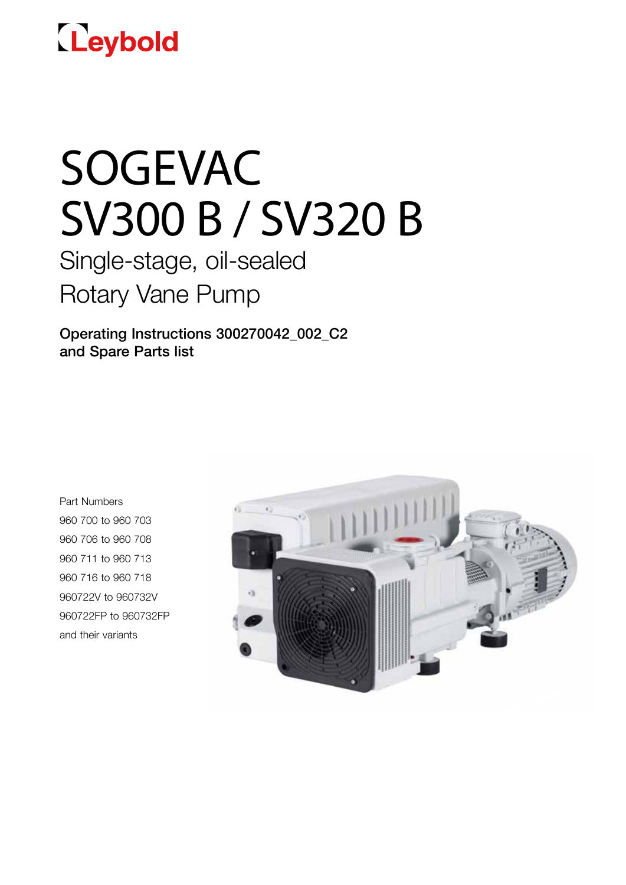# Leybold

# SOGEVAC SV300 B / SV320 B

Single-stage, oil-sealed Rotary Vane Pump

Operating Instructions 300270042\_002\_C2 and Spare Parts list

Part Numbers 960 700 to 960 703 960 706 to 960 708 960 711 to 960 713 960 716 to 960 718 960722V to 960732V 960722FP to 960732FP and their variants

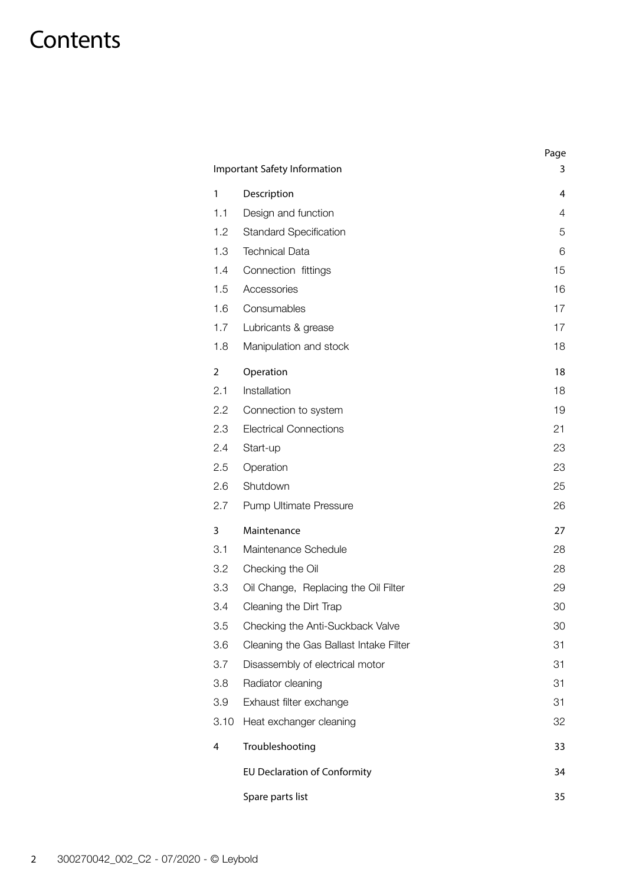### **Contents**

|                | Important Safety Information           | Page<br>3 |
|----------------|----------------------------------------|-----------|
| 1              | Description                            | 4         |
| 1.1            | Design and function                    | 4         |
| 1.2            | <b>Standard Specification</b>          | 5         |
| 1.3            | <b>Technical Data</b>                  | 6         |
| 1.4            | Connection fittings                    | 15        |
| 1.5            | Accessories                            | 16        |
| 1.6            | Consumables                            | 17        |
| 1.7            | Lubricants & grease                    | 17        |
| 1.8            | Manipulation and stock                 | 18        |
| $\overline{2}$ | Operation                              | 18        |
| 2.1            | Installation                           | 18        |
| 2.2            | Connection to system                   | 19        |
| 2.3            | <b>Electrical Connections</b>          | 21        |
| 2.4            | Start-up                               | 23        |
| 2.5            | Operation                              | 23        |
| 2.6            | Shutdown                               | 25        |
| 2.7            | Pump Ultimate Pressure                 | 26        |
| 3              | Maintenance                            | 27        |
| 3.1            | Maintenance Schedule                   | 28        |
| 3.2            | Checking the Oil                       | 28        |
| 3.3            | Oil Change, Replacing the Oil Filter   | 29        |
| 3.4            | Cleaning the Dirt Trap                 | 30        |
| 3.5            | Checking the Anti-Suckback Valve       | 30        |
| 3.6            | Cleaning the Gas Ballast Intake Filter | 31        |
| 3.7            | Disassembly of electrical motor        | 31        |
| 3.8            | Radiator cleaning                      | 31        |
| 3.9            | Exhaust filter exchange                | 31        |
| 3.10           | Heat exchanger cleaning                | 32        |
| 4              | Troubleshooting                        | 33        |
|                | <b>EU Declaration of Conformity</b>    | 34        |
|                | Spare parts list                       | 35        |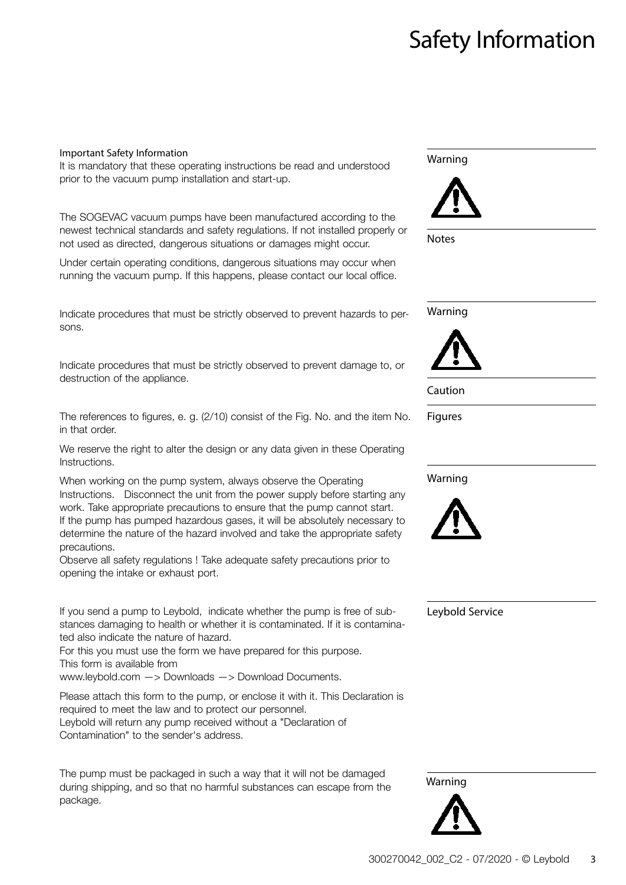### Safety Information

#### Important Safety Information

It is mandatory that these operating instructions be read and understood prior to the vacuum pump installation and start-up.

The SOGEVAC vacuum pumps have been manufactured according to the newest technical standards and safety regulations. If not installed properly or not used as directed, dangerous situations or damages might occur.

Under certain operating conditions, dangerous situations may occur when running the vacuum pump. If this happens, please contact our local office.

Indicate procedures that must be strictly observed to prevent hazards to persons.

Indicate procedures that must be strictly observed to prevent damage to, or destruction of the appliance.

The references to figures, e. g. (2/10) consist of the Fig. No. and the item No. in that order.

We reserve the right to alter the design or any data given in these Operating Instructions.

When working on the pump system, always observe the Operating Instructions. Disconnect the unit from the power supply before starting any work. Take appropriate precautions to ensure that the pump cannot start. If the pump has pumped hazardous gases, it will be absolutely necessary to determine the nature of the hazard involved and take the appropriate safety precautions.

Observe all safety regulations ! Take adequate safety precautions prior to opening the intake or exhaust port.

If you send a pump to Leybold, indicate whether the pump is free of substances damaging to health or whether it is contaminated. If it is contaminated also indicate the nature of hazard.

For this you must use the form we have prepared for this purpose. This form is available from

www.leybold.com —> Downloads —> Download Documents.

Please attach this form to the pump, or enclose it with it. This Declaration is required to meet the law and to protect our personnel.

Leybold will return any pump received without a "Declaration of Contamination" to the sender's address.

The pump must be packaged in such a way that it will not be damaged during shipping, and so that no harmful substances can escape from the package.



Figures

Warning



Leybold Service

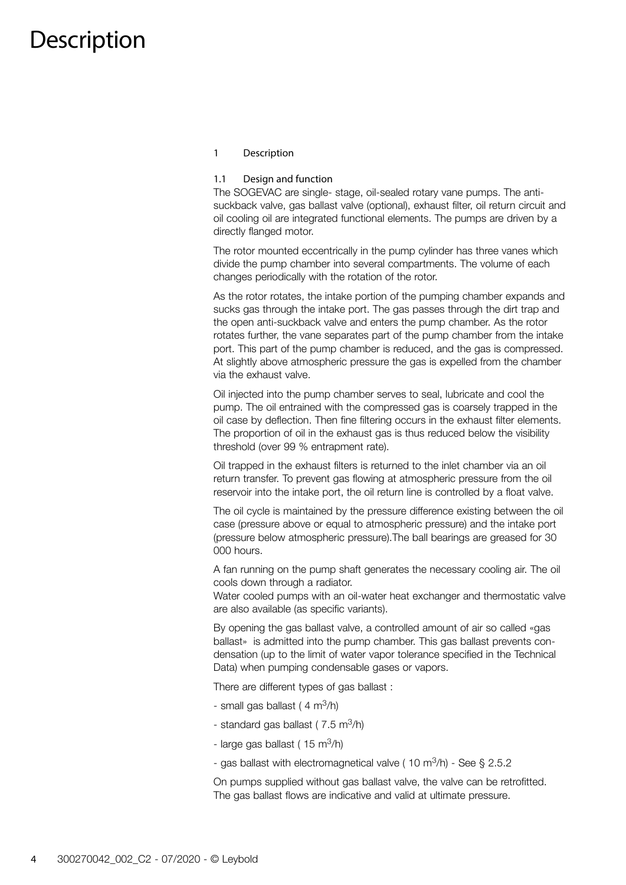- 1 Description
- 1.1 Design and function

The SOGEVAC are single- stage, oil-sealed rotary vane pumps. The antisuckback valve, gas ballast valve (optional), exhaust filter, oil return circuit and oil cooling oil are integrated functional elements. The pumps are driven by a directly flanged motor.

The rotor mounted eccentrically in the pump cylinder has three vanes which divide the pump chamber into several compartments. The volume of each changes periodically with the rotation of the rotor.

As the rotor rotates, the intake portion of the pumping chamber expands and sucks gas through the intake port. The gas passes through the dirt trap and the open anti-suckback valve and enters the pump chamber. As the rotor rotates further, the vane separates part of the pump chamber from the intake port. This part of the pump chamber is reduced, and the gas is compressed. At slightly above atmospheric pressure the gas is expelled from the chamber via the exhaust valve.

Oil injected into the pump chamber serves to seal, lubricate and cool the pump. The oil entrained with the compressed gas is coarsely trapped in the oil case by deflection. Then fine filtering occurs in the exhaust filter elements. The proportion of oil in the exhaust gas is thus reduced below the visibility threshold (over 99 % entrapment rate).

Oil trapped in the exhaust filters is returned to the inlet chamber via an oil return transfer. To prevent gas flowing at atmospheric pressure from the oil reservoir into the intake port, the oil return line is controlled by a float valve.

The oil cycle is maintained by the pressure difference existing between the oil case (pressure above or equal to atmospheric pressure) and the intake port (pressure below atmospheric pressure).The ball bearings are greased for 30 000 hours.

A fan running on the pump shaft generates the necessary cooling air. The oil cools down through a radiator.

Water cooled pumps with an oil-water heat exchanger and thermostatic valve are also available (as specific variants).

By opening the gas ballast valve, a controlled amount of air so called «gas ballast» is admitted into the pump chamber. This gas ballast prevents condensation (up to the limit of water vapor tolerance specified in the Technical Data) when pumping condensable gases or vapors.

There are different types of gas ballast :

- small gas ballast ( $4 \text{ m}^3/\text{h}$ )
- standard gas ballast ( $7.5 \text{ m}^3/\text{h}$ )
- large gas ballast ( $15 \text{ m}^3\text{/h}$ )
- gas ballast with electromagnetical valve ( $10 \text{ m}^3/\text{h}$ ) See § 2.5.2

On pumps supplied without gas ballast valve, the valve can be retrofitted. The gas ballast flows are indicative and valid at ultimate pressure.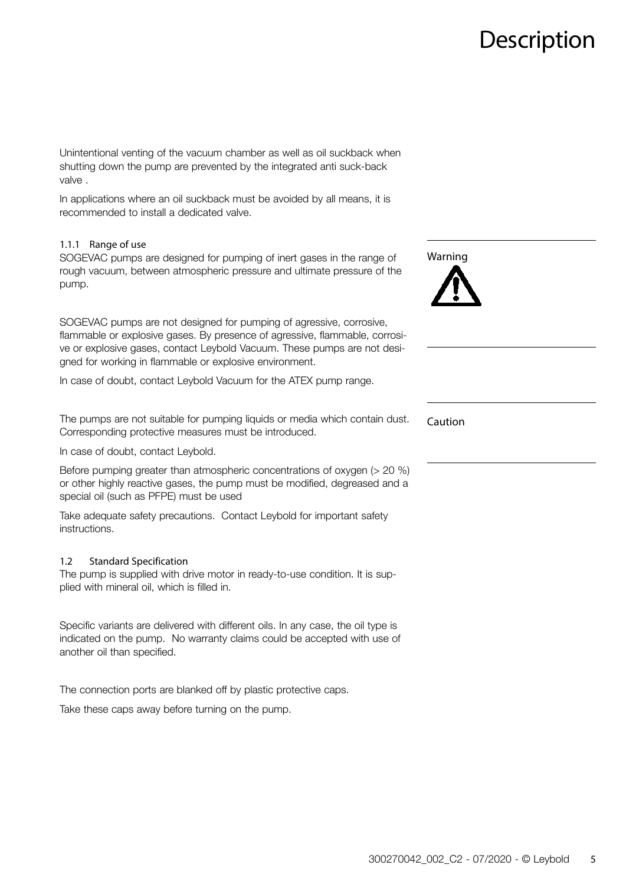Unintentional venting of the vacuum chamber as well as oil suckback when shutting down the pump are prevented by the integrated anti suck-back valve .

In applications where an oil suckback must be avoided by all means, it is recommended to install a dedicated valve.

#### 1.1.1 Range of use

SOGEVAC pumps are designed for pumping of inert gases in the range of rough vacuum, between atmospheric pressure and ultimate pressure of the pump.

SOGEVAC pumps are not designed for pumping of agressive, corrosive, flammable or explosive gases. By presence of agressive, flammable, corrosive or explosive gases, contact Leybold Vacuum. These pumps are not designed for working in flammable or explosive environment.

In case of doubt, contact Leybold Vacuum for the ATEX pump range.

The pumps are not suitable for pumping liquids or media which contain dust. Corresponding protective measures must be introduced.

In case of doubt, contact Leybold.

Before pumping greater than atmospheric concentrations of oxygen (> 20 %) or other highly reactive gases, the pump must be modified, degreased and a special oil (such as PFPE) must be used

Take adequate safety precautions. Contact Leybold for important safety instructions.

#### 1.2 Standard Specification

The pump is supplied with drive motor in ready-to-use condition. It is supplied with mineral oil, which is filled in.

Specific variants are delivered with different oils. In any case, the oil type is indicated on the pump. No warranty claims could be accepted with use of another oil than specified.

The connection ports are blanked off by plastic protective caps.

Take these caps away before turning on the pump.

Warning

Caution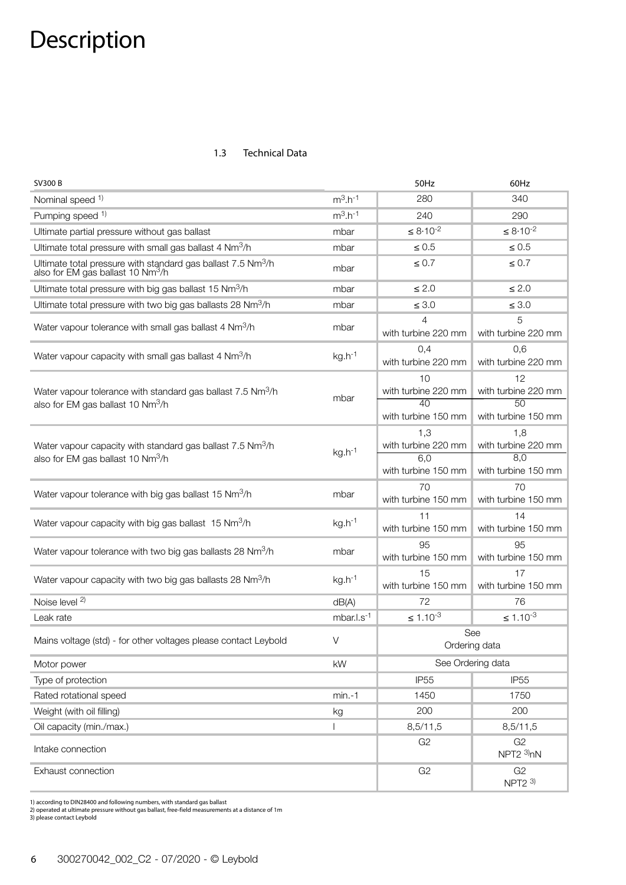#### 1.3 Technical Data

| <b>SV300 B</b>                                                                                                           |                        | 50Hz                                                     | 60Hz                                                                |
|--------------------------------------------------------------------------------------------------------------------------|------------------------|----------------------------------------------------------|---------------------------------------------------------------------|
| Nominal speed 1)                                                                                                         | $m^3.h^{-1}$           | 280                                                      | 340                                                                 |
| Pumping speed 1)                                                                                                         | $m^3.h^{-1}$           | 240                                                      | 290                                                                 |
| Ultimate partial pressure without gas ballast                                                                            | mbar                   | $\leq 8.10^{-2}$                                         | $\leq 8.10^{-2}$                                                    |
| Ultimate total pressure with small gas ballast 4 Nm <sup>3</sup> /h                                                      | mbar                   | $\leq 0.5$                                               | $\leq 0.5$                                                          |
| Ultimate total pressure with standard gas ballast 7.5 Nm <sup>3</sup> /h also for EM gas ballast 10 Nm <sup>3</sup> /h   | mbar                   | $\leq 0.7$                                               | $\leq 0.7$                                                          |
| Ultimate total pressure with big gas ballast 15 Nm <sup>3</sup> /h                                                       | mbar                   | $\leq 2.0$                                               | $\leq 2.0$                                                          |
| Ultimate total pressure with two big gas ballasts 28 Nm <sup>3</sup> /h                                                  | mbar                   | $\leq 3.0$                                               | $\leq 3.0$                                                          |
| Water vapour tolerance with small gas ballast 4 Nm <sup>3</sup> /h                                                       | mbar                   | 4<br>with turbine 220 mm                                 | 5<br>with turbine 220 mm                                            |
| Water vapour capacity with small gas ballast 4 Nm <sup>3</sup> /h                                                        | $kg.h^{-1}$            | 0.4<br>with turbine 220 mm                               | 0,6<br>with turbine 220 mm                                          |
| Water vapour tolerance with standard gas ballast 7.5 Nm <sup>3</sup> /h<br>also for EM gas ballast 10 Nm <sup>3</sup> /h | mbar                   | 10<br>with turbine 220 mm<br>40<br>with turbine 150 mm   | 12<br>with turbine 220 mm<br>$\overline{50}$<br>with turbine 150 mm |
| Water vapour capacity with standard gas ballast 7.5 Nm <sup>3</sup> /h<br>also for EM gas ballast 10 Nm <sup>3</sup> /h  | $kg.h^{-1}$            | 1,3<br>with turbine 220 mm<br>6.0<br>with turbine 150 mm | 1,8<br>with turbine 220 mm<br>8.0<br>with turbine 150 mm            |
| Water vapour tolerance with big gas ballast 15 Nm <sup>3</sup> /h                                                        | mbar                   | 70<br>with turbine 150 mm                                | 70<br>with turbine 150 mm                                           |
| Water vapour capacity with big gas ballast 15 Nm <sup>3</sup> /h                                                         | $kg.h^{-1}$            | 11<br>with turbine 150 mm                                | 14<br>with turbine 150 mm                                           |
| Water vapour tolerance with two big gas ballasts 28 Nm <sup>3</sup> /h                                                   | mbar                   | 95<br>with turbine 150 mm                                | 95<br>with turbine 150 mm                                           |
| Water vapour capacity with two big gas ballasts 28 Nm <sup>3</sup> /h                                                    | $kg.h^{-1}$            | 15<br>with turbine 150 mm                                | 17<br>with turbine 150 mm                                           |
| Noise level <sup>2)</sup>                                                                                                | dB(A)                  | 72                                                       | 76                                                                  |
| Leak rate                                                                                                                | mbar.l.s <sup>-1</sup> | $\leq 1.10^{-3}$                                         | $\leq 1.10^{-3}$                                                    |
| Mains voltage (std) - for other voltages please contact Leybold                                                          | V                      | See<br>Ordering data                                     |                                                                     |
| Motor power                                                                                                              | kW                     | See Ordering data                                        |                                                                     |
| Type of protection                                                                                                       |                        | <b>IP55</b>                                              | <b>IP55</b>                                                         |
| Rated rotational speed                                                                                                   | $min.-1$               | 1450                                                     | 1750                                                                |
| Weight (with oil filling)                                                                                                | kg                     | 200                                                      | 200                                                                 |
| Oil capacity (min./max.)                                                                                                 |                        | 8,5/11,5                                                 | 8,5/11,5                                                            |
| Intake connection                                                                                                        |                        | G <sub>2</sub>                                           | G <sub>2</sub><br>NPT2 3)nN                                         |
| Exhaust connection                                                                                                       |                        | G <sub>2</sub>                                           | G <sub>2</sub><br>NPT <sub>2</sub> 3)                               |

1) according to DIN28400 and following numbers, with standard gas ballast 2) operated at ultimate pressure without gas ballast, free-field measurements at a distance of 1m 3) please contact Leybold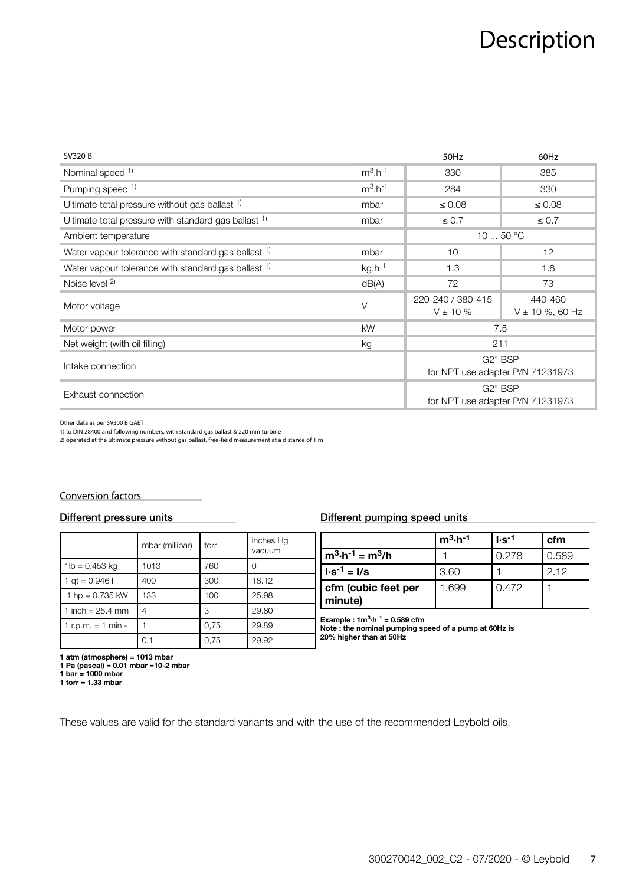| <b>SV320 B</b>                                       |              | 50Hz                                                     | 60Hz                           |
|------------------------------------------------------|--------------|----------------------------------------------------------|--------------------------------|
| Nominal speed 1)                                     | $m^3.h^{-1}$ | 330                                                      | 385                            |
| Pumping speed 1)                                     | $m^3.h^{-1}$ | 284                                                      | 330                            |
| Ultimate total pressure without gas ballast $1$ )    | mbar         | $\leq 0.08$                                              | $\leq 0.08$                    |
| Ultimate total pressure with standard gas ballast 1) | mbar         | $\leq 0.7$                                               | $\leq 0.7$                     |
| Ambient temperature                                  |              |                                                          | 10  50 $^{\circ}$ C            |
| Water vapour tolerance with standard gas ballast 1)  | mbar         | 10                                                       | 12                             |
| Water vapour tolerance with standard gas ballast 1)  | $kg.h^{-1}$  | 1.3                                                      | 1.8                            |
| Noise level <sup>2)</sup>                            | dB(A)        | 72                                                       | 73                             |
| Motor voltage                                        | V            | 220-240 / 380-415<br>$V \pm 10 \%$                       | 440-460<br>$V \pm 10$ %, 60 Hz |
| Motor power                                          | <b>kW</b>    | 7.5                                                      |                                |
| Net weight (with oil filling)                        | kg           | 211                                                      |                                |
| Intake connection                                    |              | G <sub>2</sub> " BSP<br>for NPT use adapter P/N 71231973 |                                |
| Exhaust connection                                   |              | G <sub>2</sub> " BSP<br>for NPT use adapter P/N 71231973 |                                |

Other data as per SV300 B GAET 1) to DIN 28400 and following numbers, with standard gas ballast & 220 mm turbine

2) operated at the ultimate pressure without gas ballast, free-field measurement at a distance of 1 m

#### Conversion factors

|                      | mbar (millibar) | torr | inches Hq<br>vacuum |
|----------------------|-----------------|------|---------------------|
| $1lb = 0.453$ kg     | 1013            | 760  |                     |
| 1 at = $0.9461$      | 400             | 300  | 18.12               |
| 1 hp = $0.735$ kW    | 133             | 100  | 25.98               |
| 1 inch = $25.4$ mm   | 4               | 3    | 29.80               |
| 1 r.p.m. $= 1$ min - |                 | 0,75 | 29.89               |
|                      | 0,1             | 0,75 | 29.92               |

#### Different pressure units **Different pumping speed units**

|                                | $m^3 \cdot h^{-1}$ | $I·s-1$ | cfm   |
|--------------------------------|--------------------|---------|-------|
| $m^3 \cdot h^{-1} = m^3/h$     |                    | 0.278   | 0.589 |
| $I·s-1 = I/s$                  | 3.60               |         | 2.12  |
| cfm (cubic feet per<br>minute) | 1.699              | 0.472   |       |

Example : 1 $m^3$ ·h<sup>-1</sup> = 0.589 cfm

Note : the nominal pumping speed of a pump at 60Hz is 20% higher than at 50Hz

1 atm (atmosphere) = 1013 mbar

1 Pa (pascal) = 0.01 mbar =10-2 mbar

1 bar = 1000 mbar

1 torr = 1.33 mbar

These values are valid for the standard variants and with the use of the recommended Leybold oils.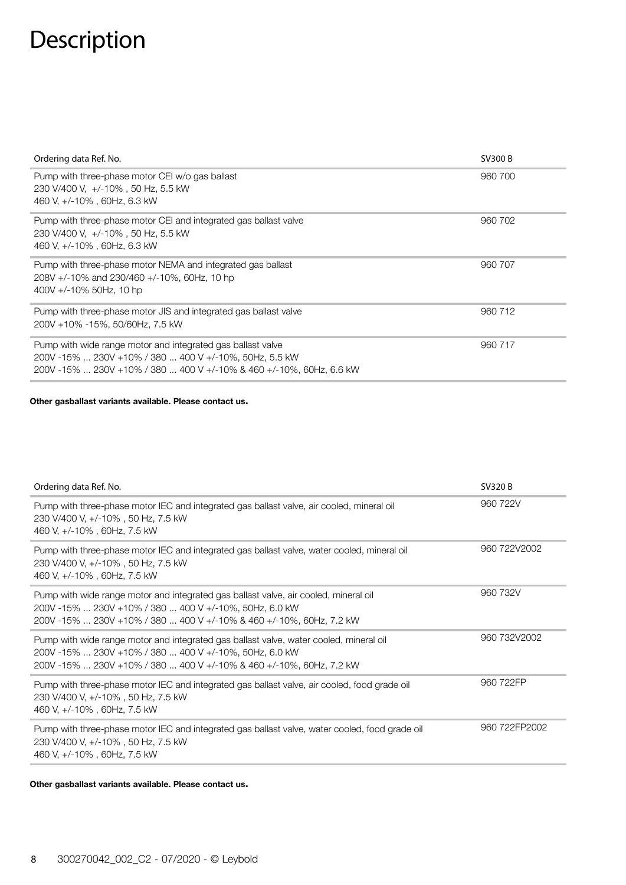| Ordering data Ref. No.                                                                                                                                                                       | <b>SV300 B</b> |
|----------------------------------------------------------------------------------------------------------------------------------------------------------------------------------------------|----------------|
| Pump with three-phase motor CEI w/o gas ballast<br>230 V/400 V, +/-10%, 50 Hz, 5.5 kW<br>460 V, +/-10%, 60Hz, 6.3 kW                                                                         | 960 700        |
| Pump with three-phase motor CEI and integrated gas ballast valve<br>230 V/400 V, +/-10%, 50 Hz, 5.5 kW<br>460 V, +/-10%, 60Hz, 6.3 kW                                                        | 960 702        |
| Pump with three-phase motor NEMA and integrated gas ballast<br>208V +/-10% and 230/460 +/-10%, 60Hz, 10 hp<br>400V +/-10% 50Hz, 10 hp                                                        | 960 707        |
| Pump with three-phase motor JIS and integrated gas ballast valve<br>200V +10% -15%, 50/60Hz, 7.5 kW                                                                                          | 960 712        |
| Pump with wide range motor and integrated gas ballast valve<br>200V -15%  230V +10% / 380  400 V +/-10%, 50Hz, 5.5 kW<br>200V -15%  230V +10% / 380  400 V +/-10% & 460 +/-10%, 60Hz, 6.6 kW | 960 717        |

#### Other gasballast variants available. Please contact us.

| Ordering data Ref. No.                                                                                                                                                                                                  | <b>SV320 B</b> |
|-------------------------------------------------------------------------------------------------------------------------------------------------------------------------------------------------------------------------|----------------|
| Pump with three-phase motor IEC and integrated gas ballast valve, air cooled, mineral oil<br>230 V/400 V, +/-10%, 50 Hz, 7.5 kW<br>460 V, +/-10%, 60Hz, 7.5 kW                                                          | 960 722V       |
| Pump with three-phase motor IEC and integrated gas ballast valve, water cooled, mineral oil<br>230 V/400 V, +/-10%, 50 Hz, 7.5 kW<br>460 V, +/-10%, 60Hz, 7.5 kW                                                        | 960 722V2002   |
| Pump with wide range motor and integrated gas ballast valve, air cooled, mineral oil<br>200V -15%  230V +10% / 380  400 V +/-10%, 50Hz, 6.0 kW<br>200V -15%  230V +10% / 380  400 V +/-10% & 460 +/-10%, 60Hz, 7.2 kW   | 960 732V       |
| Pump with wide range motor and integrated gas ballast valve, water cooled, mineral oil<br>200V -15%  230V +10% / 380  400 V +/-10%, 50Hz, 6.0 kW<br>200V -15%  230V +10% / 380  400 V +/-10% & 460 +/-10%, 60Hz, 7.2 kW | 960 732V2002   |
| Pump with three-phase motor IEC and integrated gas ballast valve, air cooled, food grade oil<br>230 V/400 V, +/-10%, 50 Hz, 7.5 kW<br>460 V, +/-10%, 60Hz, 7.5 kW                                                       | 960 722FP      |
| Pump with three-phase motor IEC and integrated gas ballast valve, water cooled, food grade oil<br>230 V/400 V, +/-10%, 50 Hz, 7.5 kW<br>460 V, +/-10%, 60Hz, 7.5 kW                                                     | 960 722FP2002  |

Other gasballast variants available. Please contact us.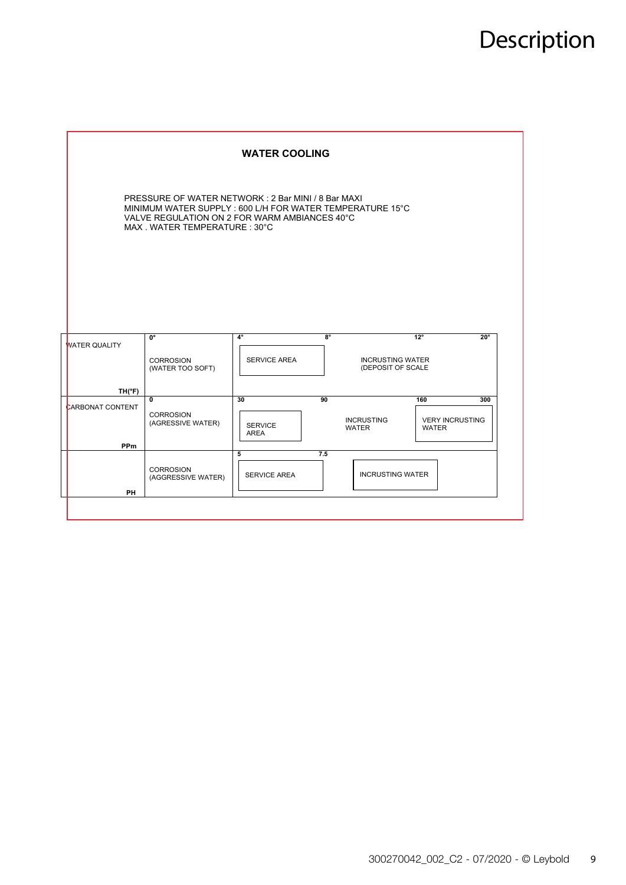| <b>WATER COOLING</b>                                                                                                                                                                           |                                                       |                                     |             |                                              |                     |                               |
|------------------------------------------------------------------------------------------------------------------------------------------------------------------------------------------------|-------------------------------------------------------|-------------------------------------|-------------|----------------------------------------------|---------------------|-------------------------------|
| PRESSURE OF WATER NETWORK: 2 Bar MINI / 8 Bar MAXI<br>MINIMUM WATER SUPPLY: 600 L/H FOR WATER TEMPERATURE 15°C<br>VALVE REGULATION ON 2 FOR WARM AMBIANCES 40°C<br>MAX WATER TEMPERATURE: 30°C |                                                       |                                     |             |                                              |                     |                               |
| <b>WATER QUALITY</b>                                                                                                                                                                           | $\overline{\mathbf{0}^{\circ}}$                       | $4^{\circ}$                         | $8^{\circ}$ |                                              | $12^{\circ}$        | $20^\circ$                    |
|                                                                                                                                                                                                | <b>CORROSION</b><br>(WATER TOO SOFT)                  | SERVICE AREA                        |             | <b>INCRUSTING WATER</b><br>(DEPOSIT OF SCALE |                     |                               |
| TH(°F)                                                                                                                                                                                         |                                                       |                                     |             |                                              |                     |                               |
| <b>CARBONAT CONTENT</b><br><b>PPm</b>                                                                                                                                                          | $\mathbf{0}$<br><b>CORROSION</b><br>(AGRESSIVE WATER) | 30<br><b>SERVICE</b><br><b>AREA</b> | 90          | <b>INCRUSTING</b><br><b>WATER</b>            | 160<br><b>WATER</b> | 300<br><b>VERY INCRUSTING</b> |
| <b>PH</b>                                                                                                                                                                                      | <b>CORROSION</b><br>(AGGRESSIVE WATER)                | 5<br><b>SERVICE AREA</b>            | 7.5         | <b>INCRUSTING WATER</b>                      |                     |                               |
|                                                                                                                                                                                                |                                                       |                                     |             |                                              |                     |                               |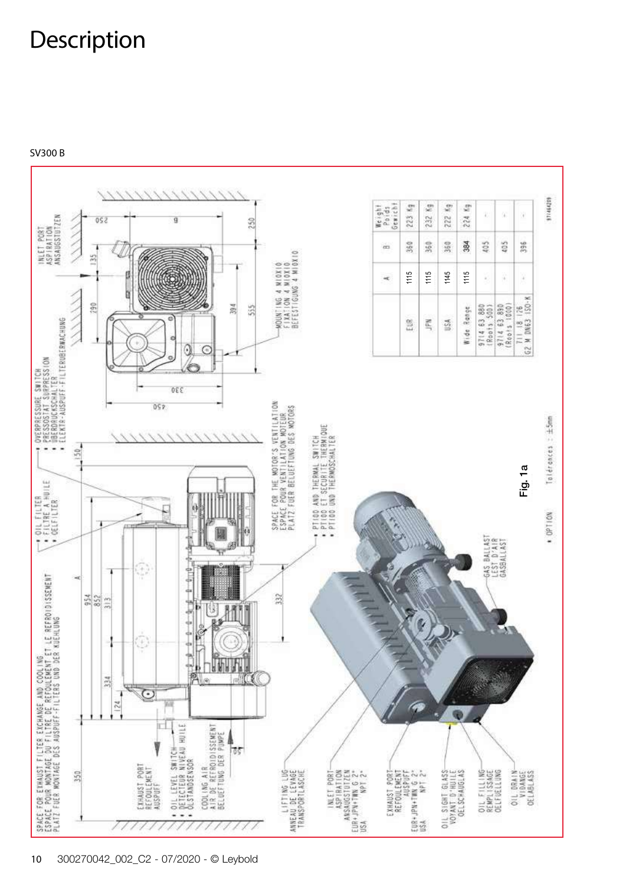SV300 B

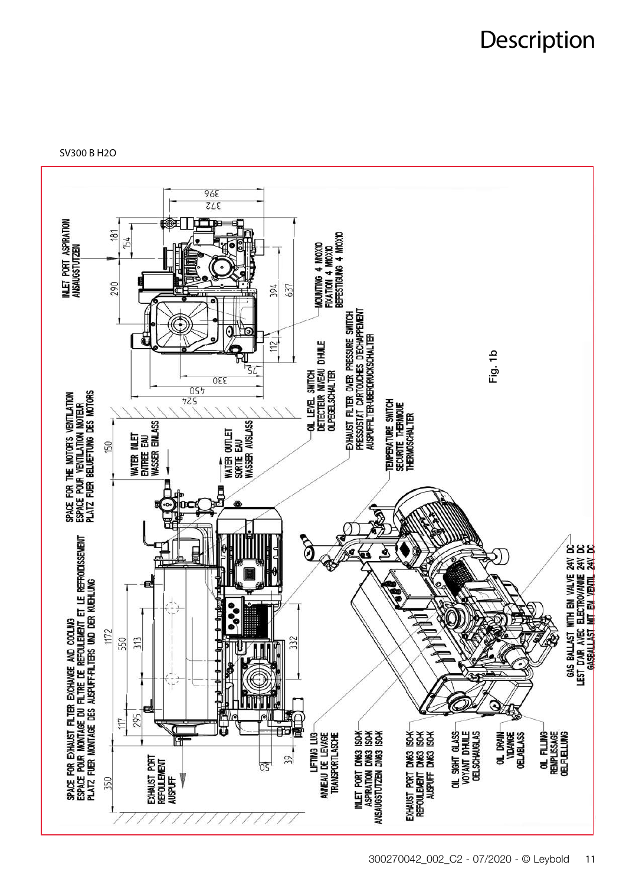SV300 B H2O

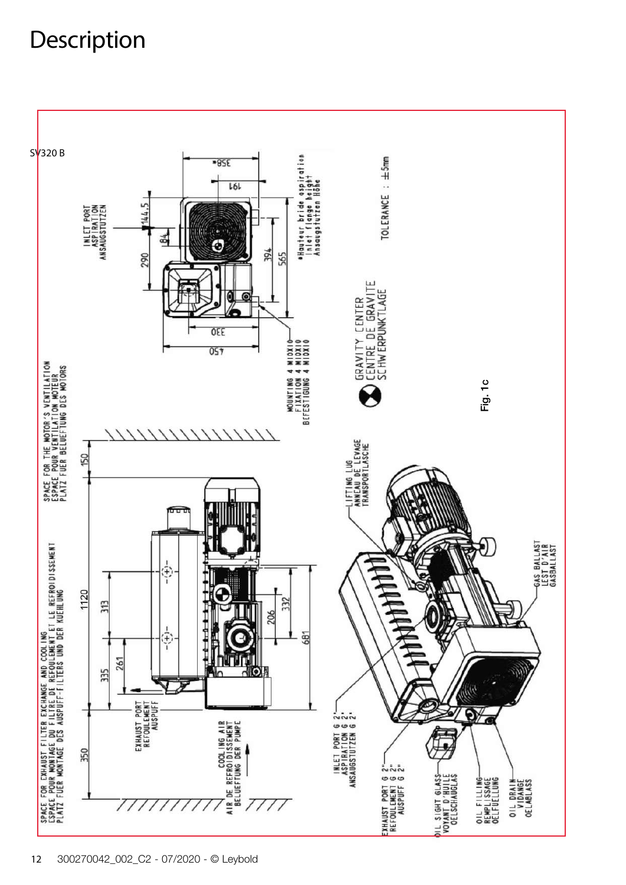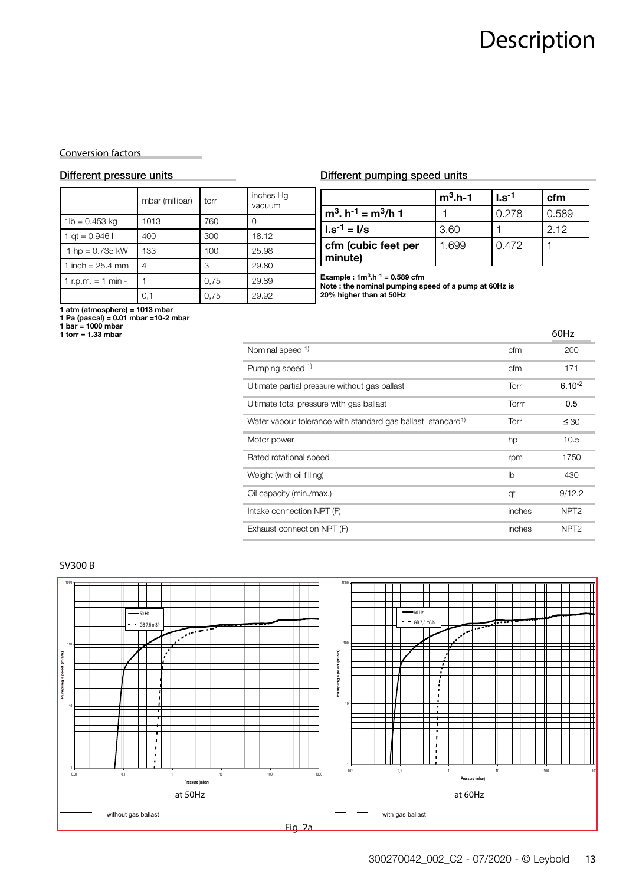$60H<sub>z</sub>$ 

#### Conversion factors

|                      | mbar (millibar) | torr | inches Hq<br>vacuum |
|----------------------|-----------------|------|---------------------|
| $1lb = 0.453$ kg     | 1013            | 760  |                     |
| 1 at = $0.9461$      | 400             | 300  | 18.12               |
| 1 hp = $0.735$ kW    | 133             | 100  | 25.98               |
| 1 inch = $25.4$ mm   | 4               | 3    | 29.80               |
| 1 r.p.m. $= 1$ min - |                 | 0,75 | 29.89               |
|                      | 0,1             | 0,75 | 29.92               |

#### Different pressure units **Different pumping speed units**

|                                                       | $m3$ .h-1 | $\mathsf{L} \mathsf{s}^{-1}$ | cfm   |
|-------------------------------------------------------|-----------|------------------------------|-------|
| $\ln^3 h^{-1} = m^3/h$ 1                              |           | 0.278                        | 0.589 |
| $ I.s^{-1} = I/s$                                     | 3.60      |                              | 2.12  |
| $\vert\,\vert$ cfm (cubic feet per<br>$\vert$ minute) | 1.699     | 0.472                        |       |

Example :  $1m^3.h^{-1} = 0.589$  cfm

Note : the nominal pumping speed of a pump at 60Hz is 20% higher than at 50Hz

1 atm (atmosphere) = 1013 mbar

1 Pa (pascal) = 0.01 mbar =10-2 mbar

1 bar = 1000 mbar

1 torr = 1.33 mbar

|                                                                         |        | -- - - - -       |
|-------------------------------------------------------------------------|--------|------------------|
| Nominal speed 1)                                                        | cfm    | 200              |
| Pumping speed 1)                                                        | cfm    | 171              |
| Ultimate partial pressure without gas ballast                           | Torr   | $6.10^{-2}$      |
| Ultimate total pressure with gas ballast                                | Torrr  | 0.5              |
| Water vapour tolerance with standard gas ballast standard <sup>1)</sup> | Torr   | $\leq 30$        |
| Motor power                                                             | hp     | 10.5             |
| Rated rotational speed                                                  | rpm    | 1750             |
| Weight (with oil filling)                                               | lb     | 430              |
| Oil capacity (min./max.)                                                | qt     | 9/12.2           |
| Intake connection NPT (F)                                               | inches | NPT <sub>2</sub> |
| Exhaust connection NPT (F)                                              | inches | NPT <sub>2</sub> |

#### SV300 B

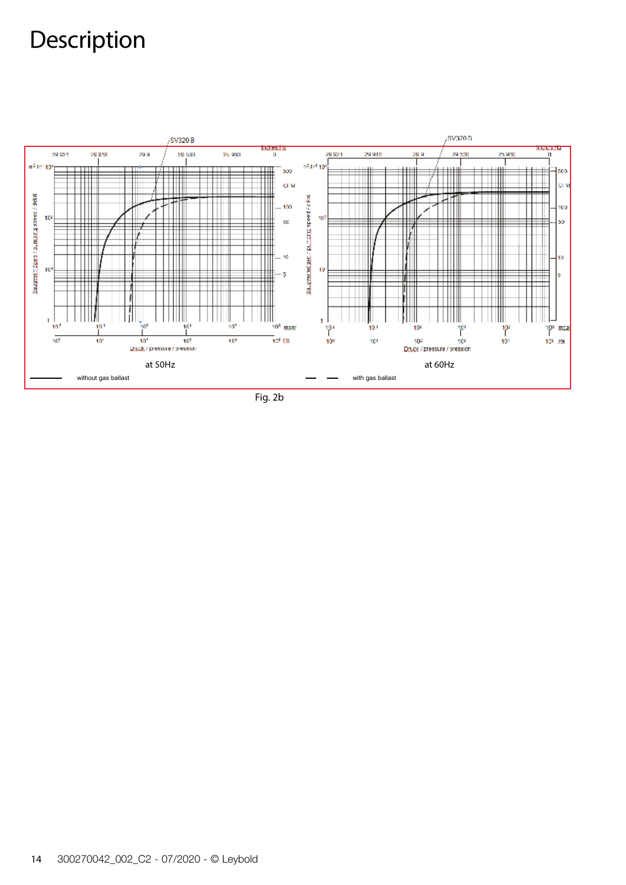

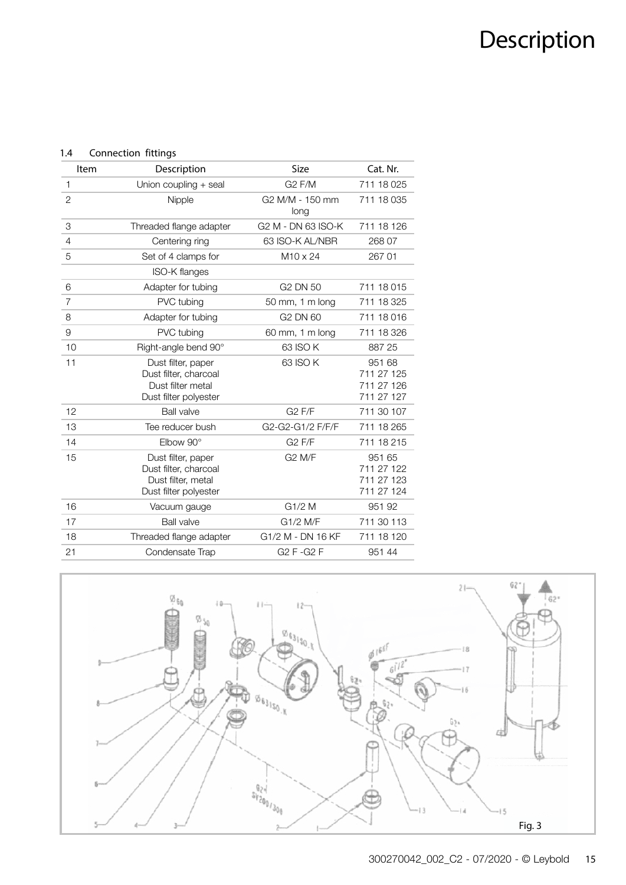| 1.4            |      | Connection fittings                                                                        |                                     |                                                  |
|----------------|------|--------------------------------------------------------------------------------------------|-------------------------------------|--------------------------------------------------|
|                | Item | Description                                                                                | Size                                | Cat. Nr.                                         |
| 1              |      | Union coupling + seal                                                                      | G <sub>2</sub> F/M                  | 711 18 025                                       |
| $\overline{2}$ |      | Nipple                                                                                     | G2 M/M - 150 mm<br>long             | 711 18 035                                       |
| 3              |      | Threaded flange adapter                                                                    | G <sub>2</sub> M - DN 63 ISO-K      | 711 18 126                                       |
| 4              |      | Centering ring                                                                             | 63 ISO-K AL/NBR                     | 268 07                                           |
| 5              |      | Set of 4 clamps for                                                                        | M <sub>10</sub> x 24                | 267 01                                           |
|                |      | ISO-K flanges                                                                              |                                     |                                                  |
| 6              |      | Adapter for tubing                                                                         | G <sub>2</sub> DN 50                | 711 18 015                                       |
| $\overline{7}$ |      | PVC tubing                                                                                 | 50 mm, 1 m long                     | 711 18 325                                       |
| 8              |      | Adapter for tubing                                                                         | G <sub>2</sub> DN 60                | 711 18 016                                       |
| 9              |      | PVC tubing                                                                                 | 60 mm, 1 m long                     | 711 18 326                                       |
| 10             |      | Right-angle bend 90°                                                                       | 63 ISO K                            | 887 25                                           |
| 11             |      | Dust filter, paper<br>Dust filter, charcoal<br>Dust filter metal<br>Dust filter polyester  | 63 ISO K                            | 951 68<br>711 27 125<br>711 27 126<br>711 27 127 |
| 12             |      | <b>Ball valve</b>                                                                          | G <sub>2</sub> F/F                  | 711 30 107                                       |
| 13             |      | Tee reducer bush                                                                           | G2-G2-G1/2 F/F/F                    | 711 18 265                                       |
| 14             |      | Elbow 90°                                                                                  | G <sub>2</sub> F/F                  | 711 18 215                                       |
| 15             |      | Dust filter, paper<br>Dust filter, charcoal<br>Dust filter, metal<br>Dust filter polyester | <b>G2 M/F</b>                       | 951 65<br>711 27 122<br>711 27 123<br>711 27 124 |
| 16             |      | Vacuum gauge                                                                               | G1/2 M                              | 95192                                            |
| 17             |      | <b>Ball valve</b>                                                                          | G1/2 M/F                            | 711 30 113                                       |
| 18             |      | Threaded flange adapter                                                                    | G1/2 M - DN 16 KF                   | 711 18 120                                       |
| 21             |      | Condensate Trap                                                                            | G <sub>2</sub> F - G <sub>2</sub> F | 951 44                                           |
|                |      |                                                                                            |                                     |                                                  |

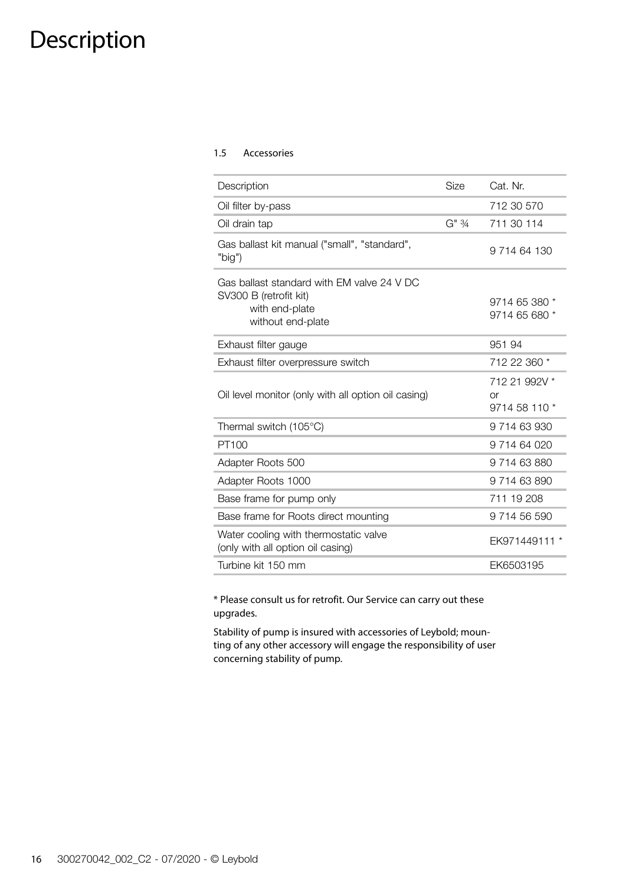#### 1.5 Accessories

| Description                                                                                                 | <b>Size</b>         | Cat. Nr.                             |
|-------------------------------------------------------------------------------------------------------------|---------------------|--------------------------------------|
| Oil filter by-pass                                                                                          |                     | 712 30 570                           |
| Oil drain tap                                                                                               | $G''$ $\frac{3}{4}$ | 711 30 114                           |
| Gas ballast kit manual ("small", "standard",<br>"big")                                                      |                     | 9 714 64 130                         |
| Gas ballast standard with EM valve 24 V DC<br>SV300 B (retrofit kit)<br>with end-plate<br>without end-plate |                     | 9714 65 380 *<br>9714 65 680 *       |
| Exhaust filter gauge                                                                                        |                     | 951 94                               |
| Exhaust filter overpressure switch                                                                          |                     | 712 22 360 *                         |
| Oil level monitor (only with all option oil casing)                                                         |                     | 712 21 992V *<br>or<br>9714 58 110 * |
| Thermal switch (105°C)                                                                                      |                     | 9 714 63 930                         |
| PT100                                                                                                       |                     | 9 714 64 020                         |
| Adapter Roots 500                                                                                           |                     | 9 714 63 880                         |
| Adapter Roots 1000                                                                                          |                     | 9 714 63 890                         |
| Base frame for pump only                                                                                    |                     | 711 19 208                           |
| Base frame for Roots direct mounting                                                                        |                     | 9 714 56 590                         |
| Water cooling with thermostatic valve<br>(only with all option oil casing)                                  |                     | EK971449111 *                        |
| Turbine kit 150 mm                                                                                          |                     | EK6503195                            |

\* Please consult us for retrofit. Our Service can carry out these upgrades.

Stability of pump is insured with accessories of Leybold; mounting of any other accessory will engage the responsibility of user concerning stability of pump.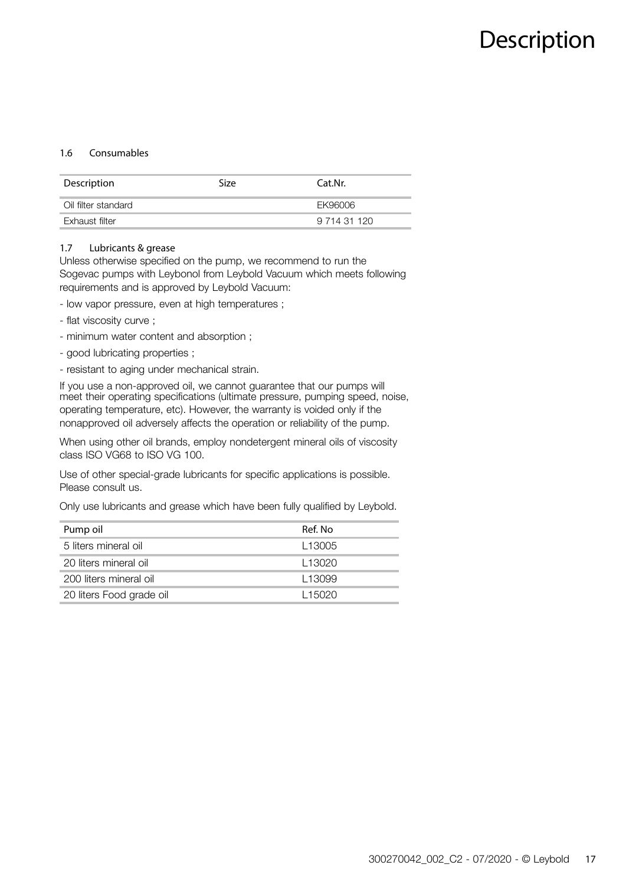#### 1.6 Consumables

| Description         | Size | Cat.Nr.      |
|---------------------|------|--------------|
| Oil filter standard |      | EK96006      |
| Exhaust filter      |      | 9 714 31 120 |

#### 1.7 Lubricants & grease

Unless otherwise specified on the pump, we recommend to run the Sogevac pumps with Leybonol from Leybold Vacuum which meets following requirements and is approved by Leybold Vacuum:

- low vapor pressure, even at high temperatures ;
- flat viscosity curve ;
- minimum water content and absorption ;
- good lubricating properties ;
- resistant to aging under mechanical strain.

If you use a non-approved oil, we cannot guarantee that our pumps will meet their operating specifications (ultimate pressure, pumping speed, noise, operating temperature, etc). However, the warranty is voided only if the nonapproved oil adversely affects the operation or reliability of the pump.

When using other oil brands, employ nondetergent mineral oils of viscosity class ISO VG68 to ISO VG 100.

Use of other special-grade lubricants for specific applications is possible. Please consult us.

Only use lubricants and grease which have been fully qualified by Leybold.

| Pump oil                 | Ref. No            |
|--------------------------|--------------------|
| 5 liters mineral oil     | L <sub>13005</sub> |
| 20 liters mineral oil    | L <sub>13020</sub> |
| 200 liters mineral oil   | L13099             |
| 20 liters Food grade oil | <u>L15020</u>      |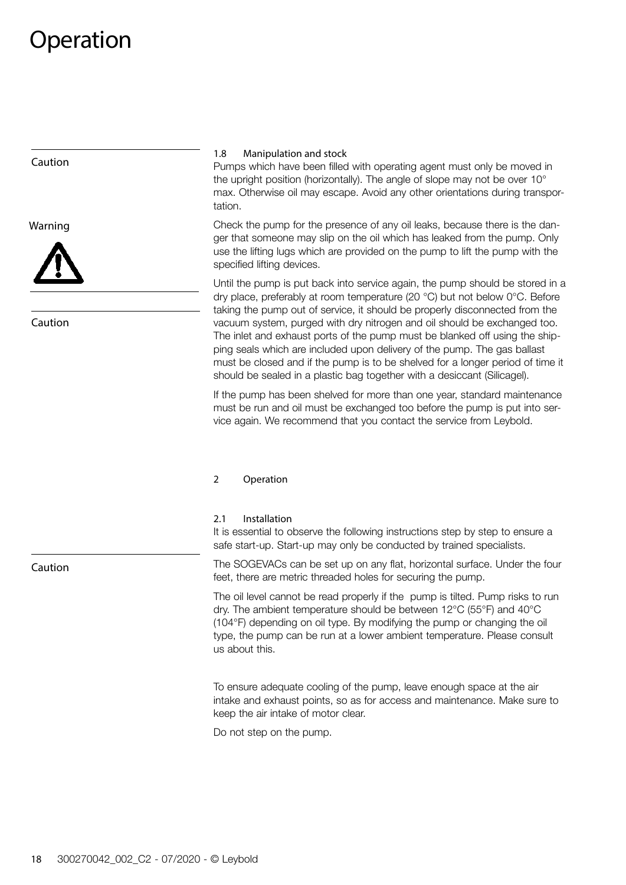### Operation

Caution

Warning



Caution

Caution

#### 1.8 Manipulation and stock

Pumps which have been filled with operating agent must only be moved in the upright position (horizontally). The angle of slope may not be over 10° max. Otherwise oil may escape. Avoid any other orientations during transportation.

Check the pump for the presence of any oil leaks, because there is the danger that someone may slip on the oil which has leaked from the pump. Only use the lifting lugs which are provided on the pump to lift the pump with the specified lifting devices.

Until the pump is put back into service again, the pump should be stored in a dry place, preferably at room temperature (20 °C) but not below 0°C. Before taking the pump out of service, it should be properly disconnected from the vacuum system, purged with dry nitrogen and oil should be exchanged too. The inlet and exhaust ports of the pump must be blanked off using the shipping seals which are included upon delivery of the pump. The gas ballast must be closed and if the pump is to be shelved for a longer period of time it should be sealed in a plastic bag together with a desiccant (Silicagel).

If the pump has been shelved for more than one year, standard maintenance must be run and oil must be exchanged too before the pump is put into service again. We recommend that you contact the service from Leybold.

#### 2 Operation

2.1 Installation

It is essential to observe the following instructions step by step to ensure a safe start-up. Start-up may only be conducted by trained specialists.

The SOGEVACs can be set up on any flat, horizontal surface. Under the four feet, there are metric threaded holes for securing the pump.

The oil level cannot be read properly if the pump is tilted. Pump risks to run dry. The ambient temperature should be between 12°C (55°F) and 40°C (104°F) depending on oil type. By modifying the pump or changing the oil type, the pump can be run at a lower ambient temperature. Please consult us about this.

To ensure adequate cooling of the pump, leave enough space at the air intake and exhaust points, so as for access and maintenance. Make sure to keep the air intake of motor clear.

Do not step on the pump.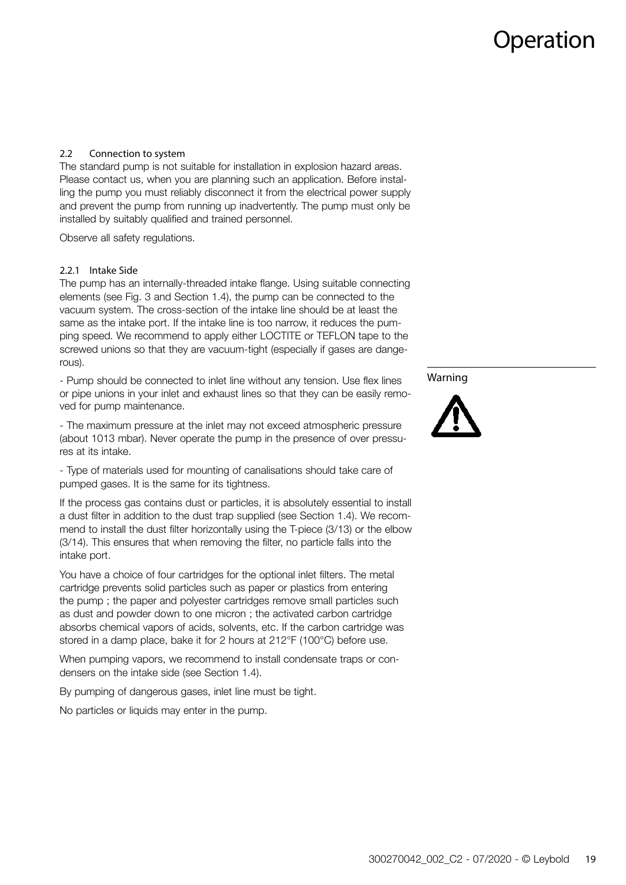### Operation

#### 2.2 Connection to system

The standard pump is not suitable for installation in explosion hazard areas. Please contact us, when you are planning such an application. Before installing the pump you must reliably disconnect it from the electrical power supply and prevent the pump from running up inadvertently. The pump must only be installed by suitably qualified and trained personnel.

Observe all safety regulations.

#### 2.2.1 Intake Side

The pump has an internally-threaded intake flange. Using suitable connecting elements (see Fig. 3 and Section 1.4), the pump can be connected to the vacuum system. The cross-section of the intake line should be at least the same as the intake port. If the intake line is too narrow, it reduces the pumping speed. We recommend to apply either LOCTITE or TEFLON tape to the screwed unions so that they are vacuum-tight (especially if gases are dangerous).

- Pump should be connected to inlet line without any tension. Use flex lines or pipe unions in your inlet and exhaust lines so that they can be easily removed for pump maintenance.

- The maximum pressure at the inlet may not exceed atmospheric pressure (about 1013 mbar). Never operate the pump in the presence of over pressures at its intake.

- Type of materials used for mounting of canalisations should take care of pumped gases. It is the same for its tightness.

If the process gas contains dust or particles, it is absolutely essential to install a dust filter in addition to the dust trap supplied (see Section 1.4). We recommend to install the dust filter horizontally using the T-piece (3/13) or the elbow (3/14). This ensures that when removing the filter, no particle falls into the intake port.

You have a choice of four cartridges for the optional inlet filters. The metal cartridge prevents solid particles such as paper or plastics from entering the pump ; the paper and polyester cartridges remove small particles such as dust and powder down to one micron ; the activated carbon cartridge absorbs chemical vapors of acids, solvents, etc. If the carbon cartridge was stored in a damp place, bake it for 2 hours at 212°F (100°C) before use.

When pumping vapors, we recommend to install condensate traps or condensers on the intake side (see Section 1.4).

By pumping of dangerous gases, inlet line must be tight.

No particles or liquids may enter in the pump.

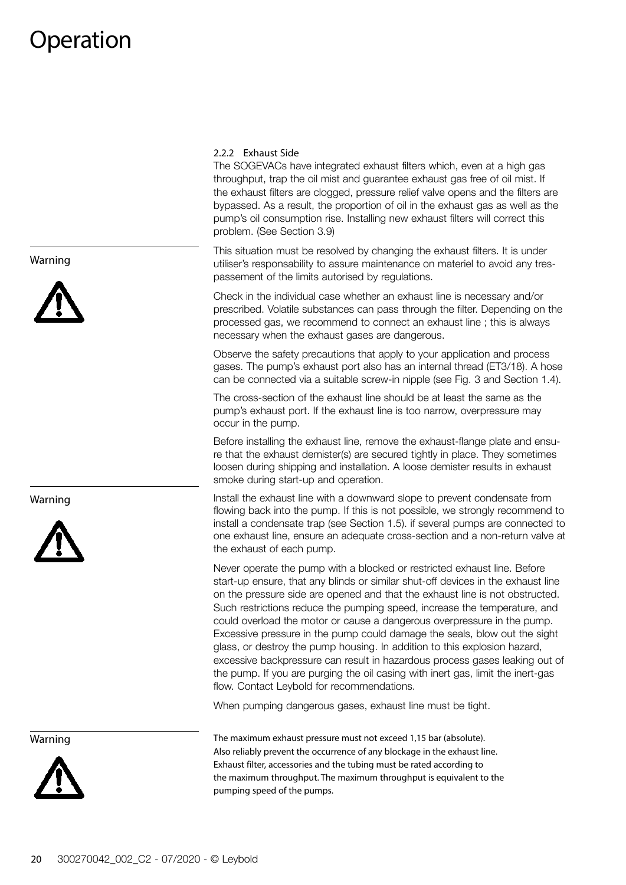### **Peration**

#### 2.2.2 Exhaust Side

The SOGEVACs have integrated exhaust filters which, even at a high gas throughput, trap the oil mist and guarantee exhaust gas free of oil mist. If the exhaust filters are clogged, pressure relief valve opens and the filters are bypassed. As a result, the proportion of oil in the exhaust gas as well as the pump's oil consumption rise. Installing new exhaust filters will correct this problem. (See Section 3.9)

This situation must be resolved by changing the exhaust filters. It is under utiliser's responsability to assure maintenance on materiel to avoid any trespassement of the limits autorised by regulations.

Check in the individual case whether an exhaust line is necessary and/or prescribed. Volatile substances can pass through the filter. Depending on the processed gas, we recommend to connect an exhaust line ; this is always necessary when the exhaust gases are dangerous.

Observe the safety precautions that apply to your application and process gases. The pump's exhaust port also has an internal thread (ET3/18). A hose can be connected via a suitable screw-in nipple (see Fig. 3 and Section 1.4).

The cross-section of the exhaust line should be at least the same as the pump's exhaust port. If the exhaust line is too narrow, overpressure may occur in the pump.

Before installing the exhaust line, remove the exhaust-flange plate and ensure that the exhaust demister(s) are secured tightly in place. They sometimes loosen during shipping and installation. A loose demister results in exhaust smoke during start-up and operation.

Install the exhaust line with a downward slope to prevent condensate from flowing back into the pump. If this is not possible, we strongly recommend to install a condensate trap (see Section 1.5). if several pumps are connected to one exhaust line, ensure an adequate cross-section and a non-return valve at the exhaust of each pump.

Never operate the pump with a blocked or restricted exhaust line. Before start-up ensure, that any blinds or similar shut-off devices in the exhaust line on the pressure side are opened and that the exhaust line is not obstructed. Such restrictions reduce the pumping speed, increase the temperature, and could overload the motor or cause a dangerous overpressure in the pump. Excessive pressure in the pump could damage the seals, blow out the sight glass, or destroy the pump housing. In addition to this explosion hazard, excessive backpressure can result in hazardous process gases leaking out of the pump. If you are purging the oil casing with inert gas, limit the inert-gas flow. Contact Leybold for recommendations.

When pumping dangerous gases, exhaust line must be tight.

The maximum exhaust pressure must not exceed 1,15 bar (absolute). Also reliably prevent the occurrence of any blockage in the exhaust line. Exhaust filter, accessories and the tubing must be rated according to the maximum throughput. The maximum throughput is equivalent to the pumping speed of the pumps.

#### Warning



Warning



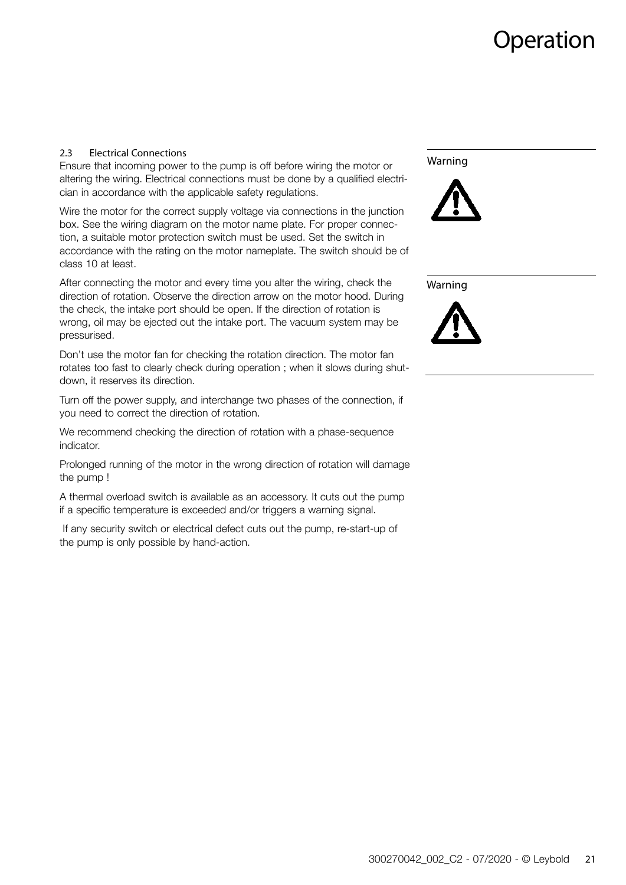### Operation

#### 2.3 Electrical Connections

Ensure that incoming power to the pump is off before wiring the motor or altering the wiring. Electrical connections must be done by a qualified electrician in accordance with the applicable safety regulations.

Wire the motor for the correct supply voltage via connections in the junction box. See the wiring diagram on the motor name plate. For proper connection, a suitable motor protection switch must be used. Set the switch in accordance with the rating on the motor nameplate. The switch should be of class 10 at least.

After connecting the motor and every time you alter the wiring, check the direction of rotation. Observe the direction arrow on the motor hood. During the check, the intake port should be open. If the direction of rotation is wrong, oil may be ejected out the intake port. The vacuum system may be pressurised.

Don't use the motor fan for checking the rotation direction. The motor fan rotates too fast to clearly check during operation ; when it slows during shutdown, it reserves its direction.

Turn off the power supply, and interchange two phases of the connection, if you need to correct the direction of rotation.

We recommend checking the direction of rotation with a phase-sequence indicator.

Prolonged running of the motor in the wrong direction of rotation will damage the pump !

A thermal overload switch is available as an accessory. It cuts out the pump if a specific temperature is exceeded and/or triggers a warning signal.

 If any security switch or electrical defect cuts out the pump, re-start-up of the pump is only possible by hand-action.

#### Warning



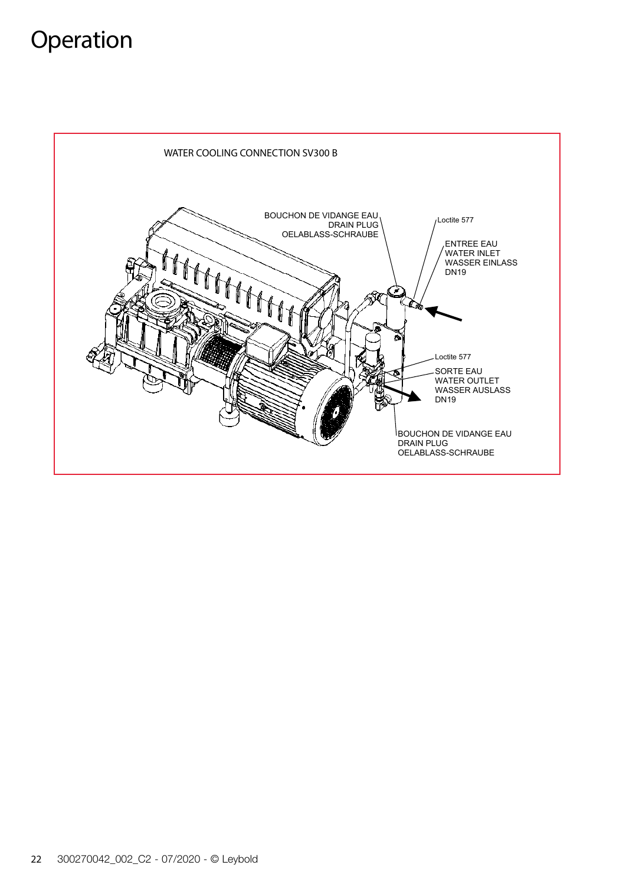### Operation

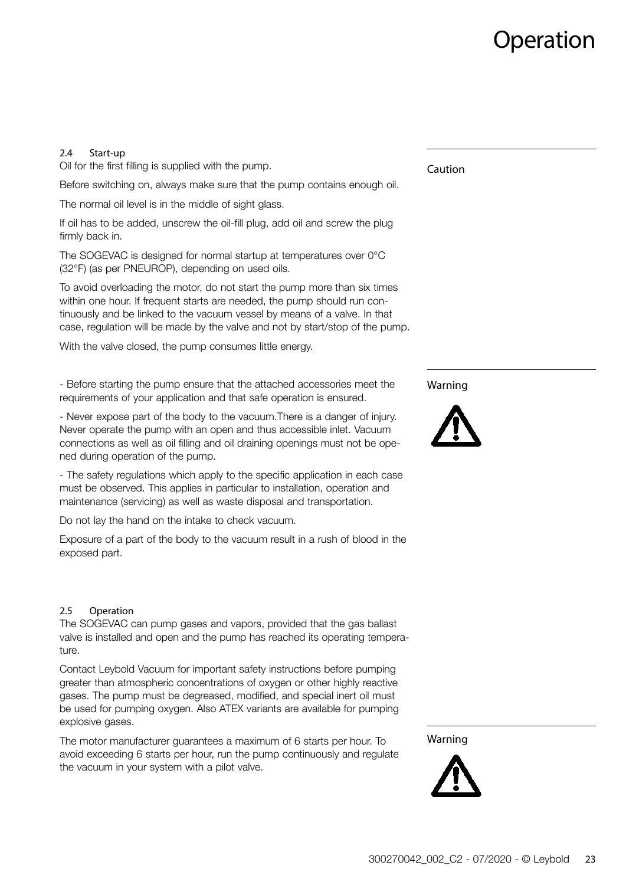### *Peration*

#### 2.4 Start-up

Oil for the first filling is supplied with the pump.

Before switching on, always make sure that the pump contains enough oil.

The normal oil level is in the middle of sight glass.

If oil has to be added, unscrew the oil-fill plug, add oil and screw the plug firmly back in.

The SOGEVAC is designed for normal startup at temperatures over 0°C (32°F) (as per PNEUROP), depending on used oils.

To avoid overloading the motor, do not start the pump more than six times within one hour. If frequent starts are needed, the pump should run continuously and be linked to the vacuum vessel by means of a valve. In that case, regulation will be made by the valve and not by start/stop of the pump.

With the valve closed, the pump consumes little energy.

- Before starting the pump ensure that the attached accessories meet the requirements of your application and that safe operation is ensured.

- Never expose part of the body to the vacuum.There is a danger of injury. Never operate the pump with an open and thus accessible inlet. Vacuum connections as well as oil filling and oil draining openings must not be opened during operation of the pump.

- The safety regulations which apply to the specific application in each case must be observed. This applies in particular to installation, operation and maintenance (servicing) as well as waste disposal and transportation.

Do not lay the hand on the intake to check vacuum.

Exposure of a part of the body to the vacuum result in a rush of blood in the exposed part.

#### 2.5 Operation

The SOGEVAC can pump gases and vapors, provided that the gas ballast valve is installed and open and the pump has reached its operating temperature.

Contact Leybold Vacuum for important safety instructions before pumping greater than atmospheric concentrations of oxygen or other highly reactive gases. The pump must be degreased, modified, and special inert oil must be used for pumping oxygen. Also ATEX variants are available for pumping explosive gases.

The motor manufacturer guarantees a maximum of 6 starts per hour. To avoid exceeding 6 starts per hour, run the pump continuously and regulate the vacuum in your system with a pilot valve.

Caution





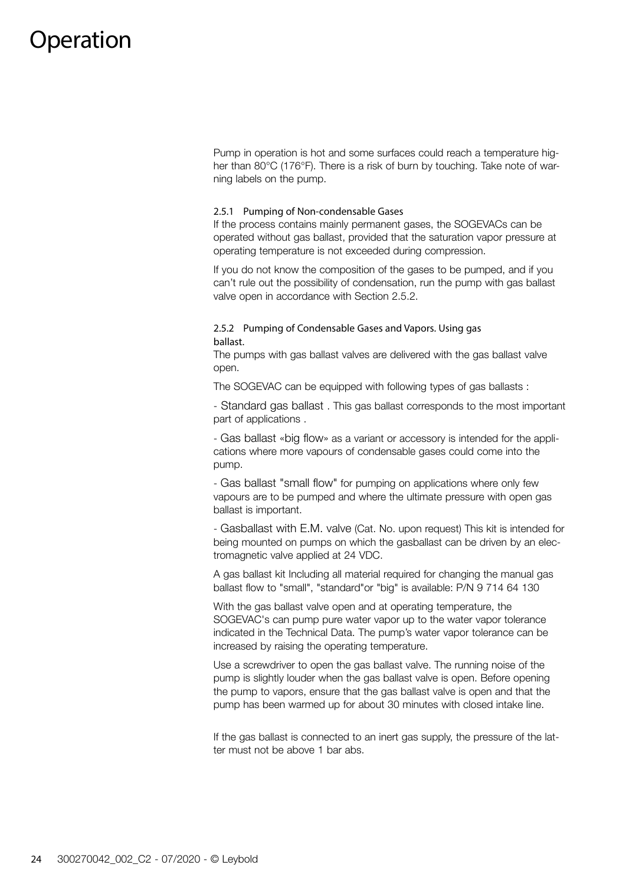### Operation

Pump in operation is hot and some surfaces could reach a temperature higher than 80°C (176°F). There is a risk of burn by touching. Take note of warning labels on the pump.

#### 2.5.1 Pumping of Non-condensable Gases

If the process contains mainly permanent gases, the SOGEVACs can be operated without gas ballast, provided that the saturation vapor pressure at operating temperature is not exceeded during compression.

If you do not know the composition of the gases to be pumped, and if you can't rule out the possibility of condensation, run the pump with gas ballast valve open in accordance with Section 2.5.2.

#### 2.5.2 Pumping of Condensable Gases and Vapors. Using gas ballast.

The pumps with gas ballast valves are delivered with the gas ballast valve open.

The SOGEVAC can be equipped with following types of gas ballasts :

- Standard gas ballast . This gas ballast corresponds to the most important part of applications .

- Gas ballast «big flow» as a variant or accessory is intended for the applications where more vapours of condensable gases could come into the pump.

- Gas ballast "small flow" for pumping on applications where only few vapours are to be pumped and where the ultimate pressure with open gas ballast is important.

- Gasballast with E.M. valve (Cat. No. upon request) This kit is intended for being mounted on pumps on which the gasballast can be driven by an electromagnetic valve applied at 24 VDC.

A gas ballast kit Including all material required for changing the manual gas ballast flow to "small", "standard"or "big" is available: P/N 9 714 64 130

With the gas ballast valve open and at operating temperature, the SOGEVAC's can pump pure water vapor up to the water vapor tolerance indicated in the Technical Data. The pump's water vapor tolerance can be increased by raising the operating temperature.

Use a screwdriver to open the gas ballast valve. The running noise of the pump is slightly louder when the gas ballast valve is open. Before opening the pump to vapors, ensure that the gas ballast valve is open and that the pump has been warmed up for about 30 minutes with closed intake line.

If the gas ballast is connected to an inert gas supply, the pressure of the latter must not be above 1 bar abs.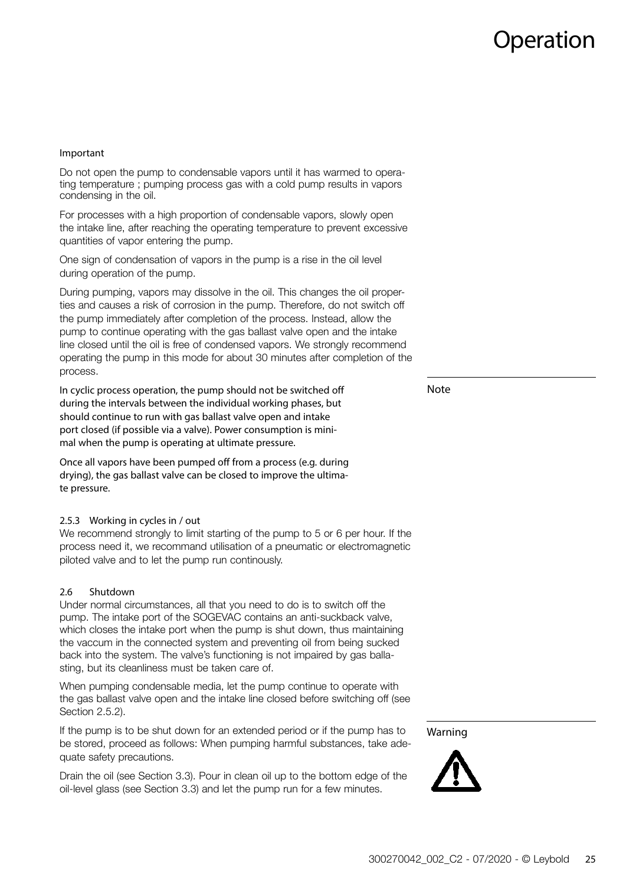#### Important

Do not open the pump to condensable vapors until it has warmed to operating temperature ; pumping process gas with a cold pump results in vapors condensing in the oil.

For processes with a high proportion of condensable vapors, slowly open the intake line, after reaching the operating temperature to prevent excessive quantities of vapor entering the pump.

One sign of condensation of vapors in the pump is a rise in the oil level during operation of the pump.

During pumping, vapors may dissolve in the oil. This changes the oil properties and causes a risk of corrosion in the pump. Therefore, do not switch off the pump immediately after completion of the process. Instead, allow the pump to continue operating with the gas ballast valve open and the intake line closed until the oil is free of condensed vapors. We strongly recommend operating the pump in this mode for about 30 minutes after completion of the process.

In cyclic process operation, the pump should not be switched off during the intervals between the individual working phases, but should continue to run with gas ballast valve open and intake port closed (if possible via a valve). Power consumption is minimal when the pump is operating at ultimate pressure.

Once all vapors have been pumped off from a process (e.g. during drying), the gas ballast valve can be closed to improve the ultimate pressure.

#### 2.5.3 Working in cycles in / out

We recommend strongly to limit starting of the pump to 5 or 6 per hour. If the process need it, we recommand utilisation of a pneumatic or electromagnetic piloted valve and to let the pump run continously.

#### 2.6 Shutdown

Under normal circumstances, all that you need to do is to switch off the pump. The intake port of the SOGEVAC contains an anti-suckback valve, which closes the intake port when the pump is shut down, thus maintaining the vaccum in the connected system and preventing oil from being sucked back into the system. The valve's functioning is not impaired by gas ballasting, but its cleanliness must be taken care of.

When pumping condensable media, let the pump continue to operate with the gas ballast valve open and the intake line closed before switching off (see Section 2.5.2).

If the pump is to be shut down for an extended period or if the pump has to be stored, proceed as follows: When pumping harmful substances, take adequate safety precautions.

Drain the oil (see Section 3.3). Pour in clean oil up to the bottom edge of the oil-level glass (see Section 3.3) and let the pump run for a few minutes.

Note

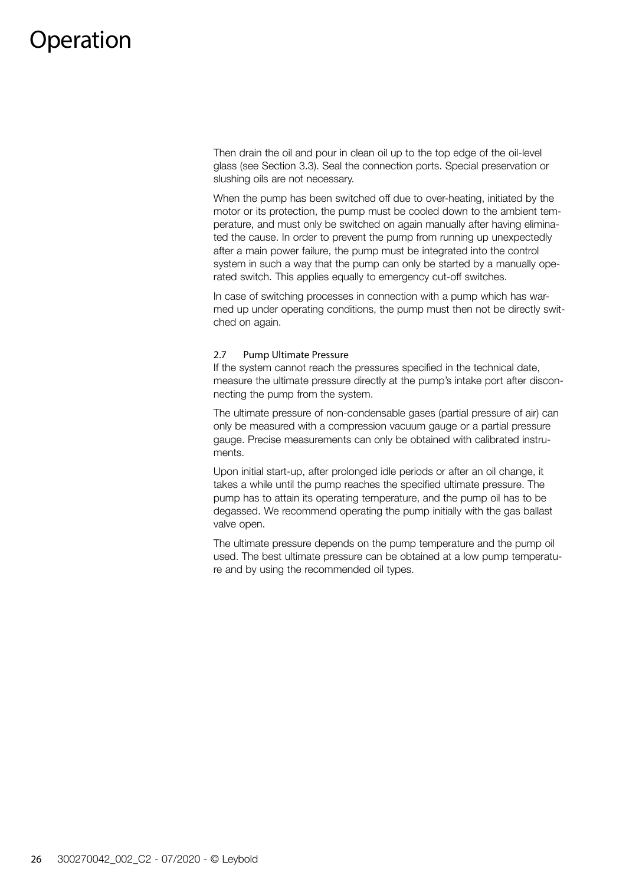### Operation

Then drain the oil and pour in clean oil up to the top edge of the oil-level glass (see Section 3.3). Seal the connection ports. Special preservation or slushing oils are not necessary.

When the pump has been switched off due to over-heating, initiated by the motor or its protection, the pump must be cooled down to the ambient temperature, and must only be switched on again manually after having eliminated the cause. In order to prevent the pump from running up unexpectedly after a main power failure, the pump must be integrated into the control system in such a way that the pump can only be started by a manually operated switch. This applies equally to emergency cut-off switches.

In case of switching processes in connection with a pump which has warmed up under operating conditions, the pump must then not be directly switched on again.

#### 2.7 Pump Ultimate Pressure

If the system cannot reach the pressures specified in the technical date, measure the ultimate pressure directly at the pump's intake port after disconnecting the pump from the system.

The ultimate pressure of non-condensable gases (partial pressure of air) can only be measured with a compression vacuum gauge or a partial pressure gauge. Precise measurements can only be obtained with calibrated instruments.

Upon initial start-up, after prolonged idle periods or after an oil change, it takes a while until the pump reaches the specified ultimate pressure. The pump has to attain its operating temperature, and the pump oil has to be degassed. We recommend operating the pump initially with the gas ballast valve open.

The ultimate pressure depends on the pump temperature and the pump oil used. The best ultimate pressure can be obtained at a low pump temperature and by using the recommended oil types.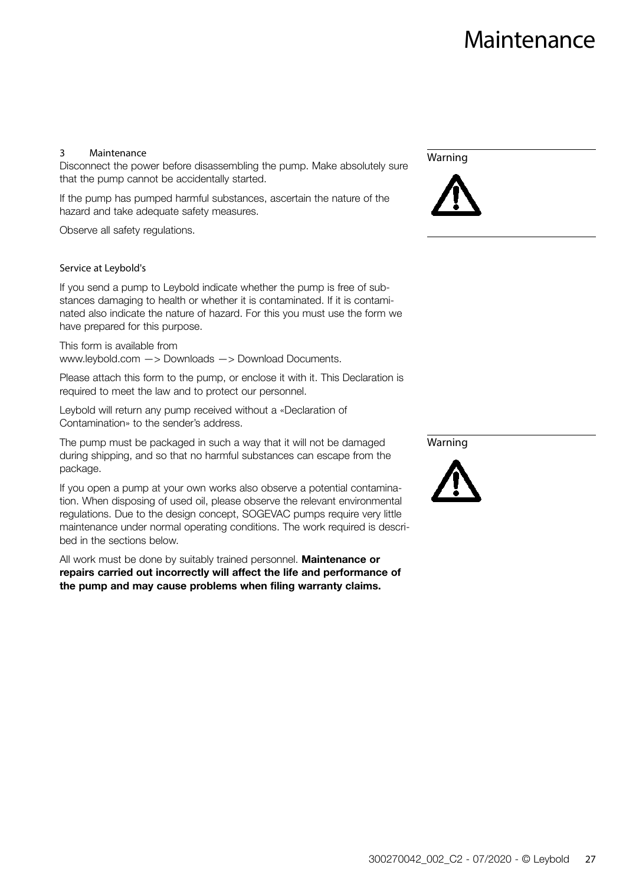#### 3 Maintenance

Disconnect the power before disassembling the pump. Make absolutely sure that the pump cannot be accidentally started.

If the pump has pumped harmful substances, ascertain the nature of the hazard and take adequate safety measures.

Observe all safety regulations.

#### Service at Leybold's

If you send a pump to Leybold indicate whether the pump is free of substances damaging to health or whether it is contaminated. If it is contaminated also indicate the nature of hazard. For this you must use the form we have prepared for this purpose.

This form is available from www.leybold.com —> Downloads —> Download Documents.

Please attach this form to the pump, or enclose it with it. This Declaration is required to meet the law and to protect our personnel.

Leybold will return any pump received without a «Declaration of Contamination» to the sender's address.

The pump must be packaged in such a way that it will not be damaged during shipping, and so that no harmful substances can escape from the package.

If you open a pump at your own works also observe a potential contamination. When disposing of used oil, please observe the relevant environmental regulations. Due to the design concept, SOGEVAC pumps require very little maintenance under normal operating conditions. The work required is described in the sections below.

All work must be done by suitably trained personnel. Maintenance or repairs carried out incorrectly will affect the life and performance of the pump and may cause problems when filing warranty claims.





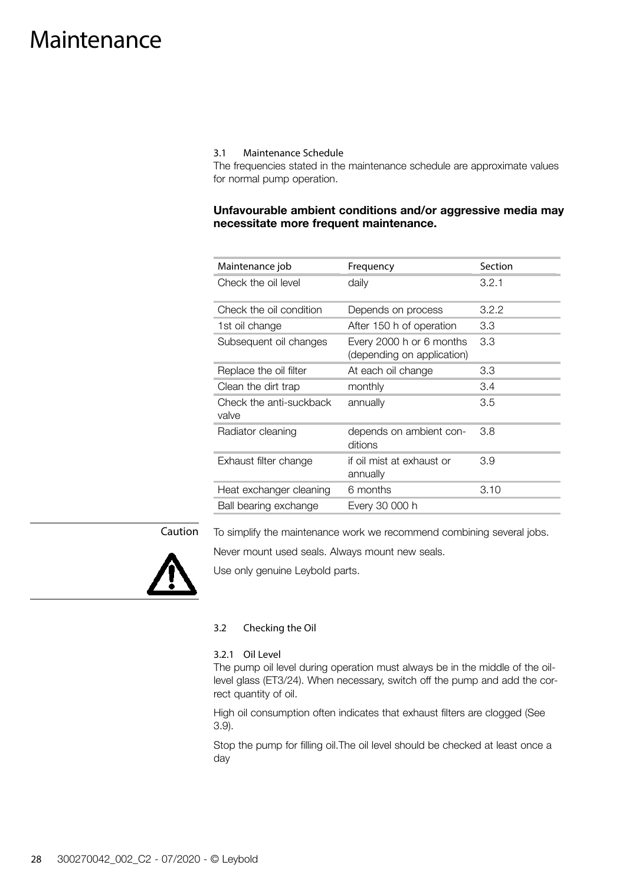3.1 Maintenance Schedule

The frequencies stated in the maintenance schedule are approximate values for normal pump operation.

#### Unfavourable ambient conditions and/or aggressive media may necessitate more frequent maintenance.

| Maintenance job                  | Frequency                                              | Section |
|----------------------------------|--------------------------------------------------------|---------|
| Check the oil level              | daily                                                  | 3.2.1   |
| Check the oil condition          | Depends on process                                     | 3.2.2   |
| 1st oil change                   | After 150 h of operation                               | 3.3     |
| Subsequent oil changes           | Every 2000 h or 6 months<br>(depending on application) | 3.3     |
| Replace the oil filter           | At each oil change                                     | 3.3     |
| Clean the dirt trap              | monthly                                                | 3.4     |
| Check the anti-suckback<br>valve | annually                                               | 3.5     |
| Radiator cleaning                | depends on ambient con-<br>ditions                     | 3.8     |
| Exhaust filter change            | if oil mist at exhaust or<br>annually                  | 3.9     |
| Heat exchanger cleaning          | 6 months                                               | 3.10    |
| Ball bearing exchange            | Every 30 000 h                                         |         |

#### Caution

To simplify the maintenance work we recommend combining several jobs.

Never mount used seals. Always mount new seals.



Use only genuine Leybold parts.

#### 3.2 Checking the Oil

#### 3.2.1 Oil Level

The pump oil level during operation must always be in the middle of the oillevel glass (ET3/24). When necessary, switch off the pump and add the correct quantity of oil.

High oil consumption often indicates that exhaust filters are clogged (See 3.9).

Stop the pump for filling oil.The oil level should be checked at least once a day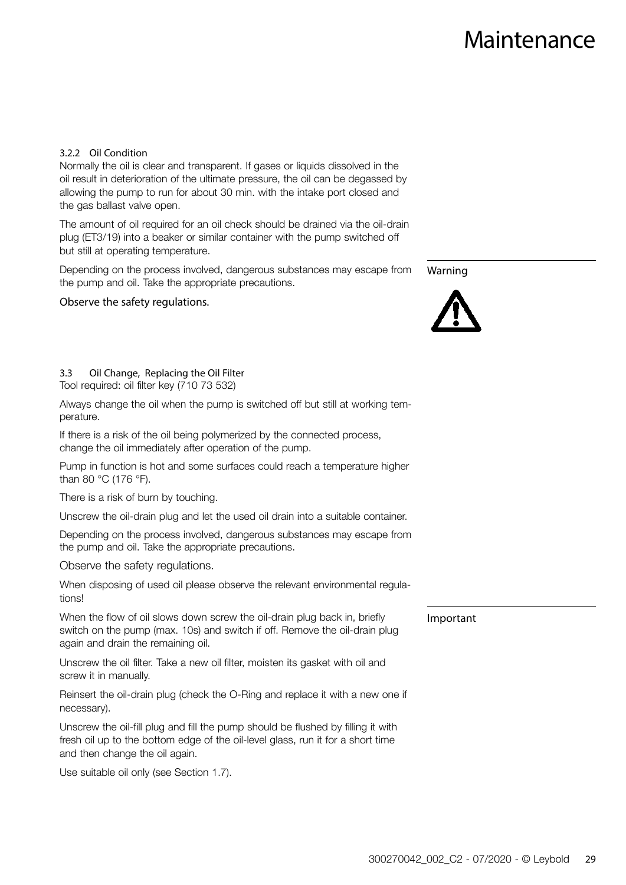### 3.2.2 Oil Condition

Normally the oil is clear and transparent. If gases or liquids dissolved in the oil result in deterioration of the ultimate pressure, the oil can be degassed by allowing the pump to run for about 30 min. with the intake port closed and the gas ballast valve open.

The amount of oil required for an oil check should be drained via the oil-drain plug (ET3/19) into a beaker or similar container with the pump switched off but still at operating temperature.

Depending on the process involved, dangerous substances may escape from the pump and oil. Take the appropriate precautions.

Observe the safety regulations.



Warning

#### 3.3 Oil Change, Replacing the Oil Filter

Tool required: oil filter key (710 73 532)

Always change the oil when the pump is switched off but still at working temperature.

If there is a risk of the oil being polymerized by the connected process, change the oil immediately after operation of the pump.

Pump in function is hot and some surfaces could reach a temperature higher than 80 °C (176 °F).

There is a risk of burn by touching.

Unscrew the oil-drain plug and let the used oil drain into a suitable container.

Depending on the process involved, dangerous substances may escape from the pump and oil. Take the appropriate precautions.

Observe the safety regulations.

When disposing of used oil please observe the relevant environmental regulations!

When the flow of oil slows down screw the oil-drain plug back in, briefly switch on the pump (max. 10s) and switch if off. Remove the oil-drain plug again and drain the remaining oil.

Unscrew the oil filter. Take a new oil filter, moisten its gasket with oil and screw it in manually.

Reinsert the oil-drain plug (check the O-Ring and replace it with a new one if necessary).

Unscrew the oil-fill plug and fill the pump should be flushed by filling it with fresh oil up to the bottom edge of the oil-level glass, run it for a short time and then change the oil again.

Use suitable oil only (see Section 1.7).

Important

300270042\_002\_C2 - 07/2020 - © Leybold 29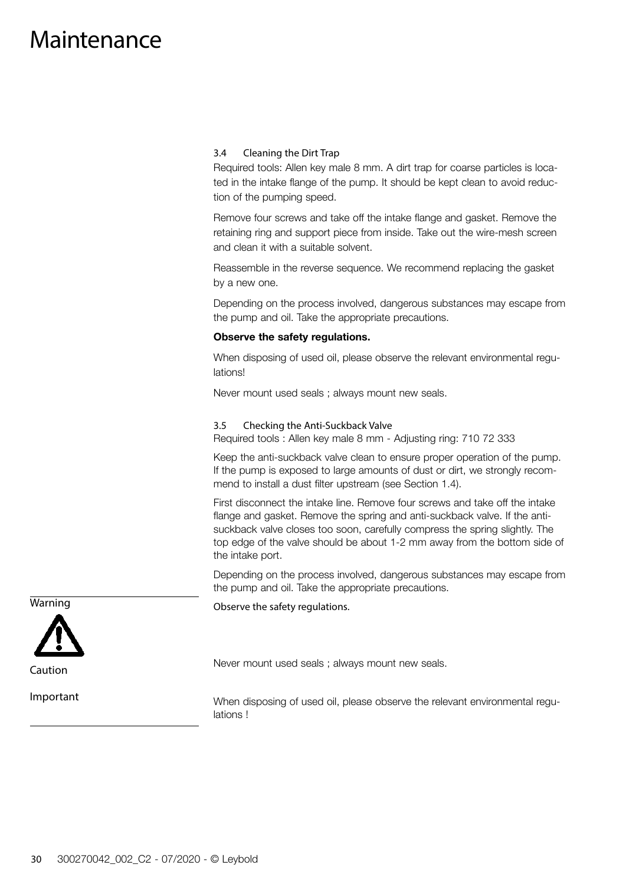#### 3.4 Cleaning the Dirt Trap

Required tools: Allen key male 8 mm. A dirt trap for coarse particles is located in the intake flange of the pump. It should be kept clean to avoid reduction of the pumping speed.

Remove four screws and take off the intake flange and gasket. Remove the retaining ring and support piece from inside. Take out the wire-mesh screen and clean it with a suitable solvent.

Reassemble in the reverse sequence. We recommend replacing the gasket by a new one.

Depending on the process involved, dangerous substances may escape from the pump and oil. Take the appropriate precautions.

#### Observe the safety regulations.

When disposing of used oil, please observe the relevant environmental regulations!

Never mount used seals ; always mount new seals.

#### 3.5 Checking the Anti-Suckback Valve

Required tools : Allen key male 8 mm - Adjusting ring: 710 72 333

Keep the anti-suckback valve clean to ensure proper operation of the pump. If the pump is exposed to large amounts of dust or dirt, we strongly recommend to install a dust filter upstream (see Section 1.4).

First disconnect the intake line. Remove four screws and take off the intake flange and gasket. Remove the spring and anti-suckback valve. If the antisuckback valve closes too soon, carefully compress the spring slightly. The top edge of the valve should be about 1-2 mm away from the bottom side of the intake port.

Depending on the process involved, dangerous substances may escape from the pump and oil. Take the appropriate precautions.

Observe the safety regulations.

**Warning** 

Caution

Important

Never mount used seals ; always mount new seals.

When disposing of used oil, please observe the relevant environmental regulations !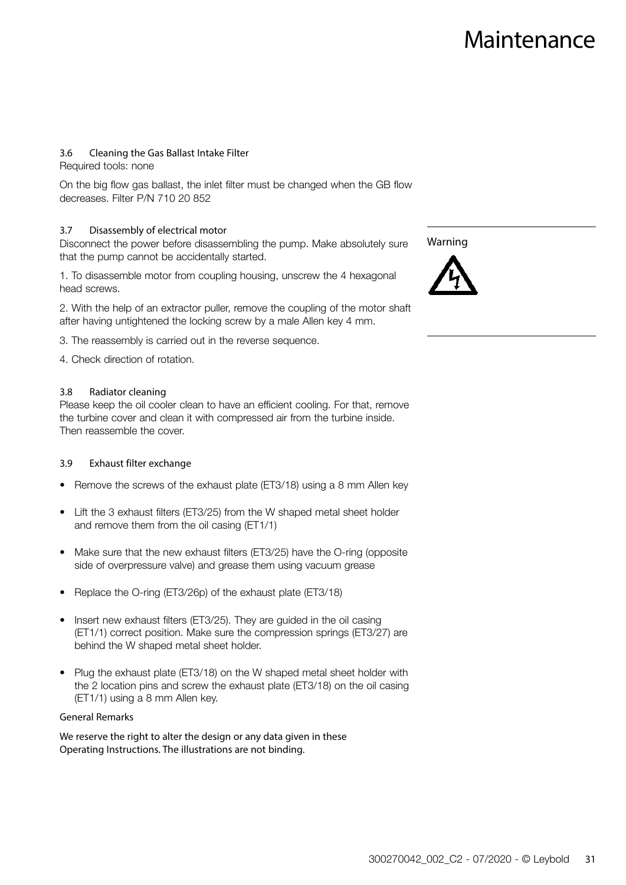#### 3.6 Cleaning the Gas Ballast Intake Filter

Required tools: none

On the big flow gas ballast, the inlet filter must be changed when the GB flow decreases. Filter P/N 710 20 852

### 3.7 Disassembly of electrical motor

Disconnect the power before disassembling the pump. Make absolutely sure that the pump cannot be accidentally started.

1. To disassemble motor from coupling housing, unscrew the 4 hexagonal head screws.

2. With the help of an extractor puller, remove the coupling of the motor shaft after having untightened the locking screw by a male Allen key 4 mm.

3. The reassembly is carried out in the reverse sequence.

4. Check direction of rotation.

#### 3.8 Radiator cleaning

Please keep the oil cooler clean to have an efficient cooling. For that, remove the turbine cover and clean it with compressed air from the turbine inside. Then reassemble the cover.

- 3.9 Exhaust filter exchange
- Remove the screws of the exhaust plate (ET3/18) using a 8 mm Allen key
- Lift the 3 exhaust filters (ET3/25) from the W shaped metal sheet holder and remove them from the oil casing (ET1/1)
- Make sure that the new exhaust filters (ET3/25) have the O-ring (opposite side of overpressure valve) and grease them using vacuum grease
- Replace the O-ring (ET3/26p) of the exhaust plate (ET3/18)
- Insert new exhaust filters (ET3/25). They are guided in the oil casing (ET1/1) correct position. Make sure the compression springs (ET3/27) are behind the W shaped metal sheet holder.
- Plug the exhaust plate (ET3/18) on the W shaped metal sheet holder with the 2 location pins and screw the exhaust plate (ET3/18) on the oil casing (ET1/1) using a 8 mm Allen key.

#### General Remarks

We reserve the right to alter the design or any data given in these Operating Instructions. The illustrations are not binding.

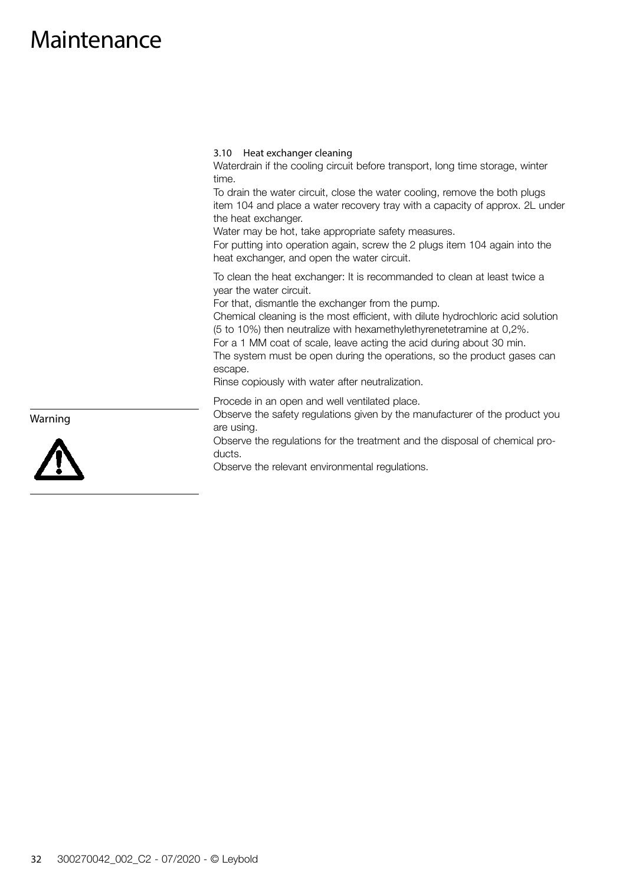3.10 Heat exchanger cleaning

Waterdrain if the cooling circuit before transport, long time storage, winter time.

To drain the water circuit, close the water cooling, remove the both plugs item 104 and place a water recovery tray with a capacity of approx. 2L under the heat exchanger.

Water may be hot, take appropriate safety measures.

For putting into operation again, screw the 2 plugs item 104 again into the heat exchanger, and open the water circuit.

To clean the heat exchanger: It is recommanded to clean at least twice a year the water circuit.

For that, dismantle the exchanger from the pump.

Chemical cleaning is the most efficient, with dilute hydrochloric acid solution (5 to 10%) then neutralize with hexamethylethyrenetetramine at 0,2%.

For a 1 MM coat of scale, leave acting the acid during about 30 min.

The system must be open during the operations, so the product gases can escape.

Rinse copiously with water after neutralization.

Procede in an open and well ventilated place.

Observe the safety regulations given by the manufacturer of the product you are using.

Observe the regulations for the treatment and the disposal of chemical products.

Observe the relevant environmental regulations.



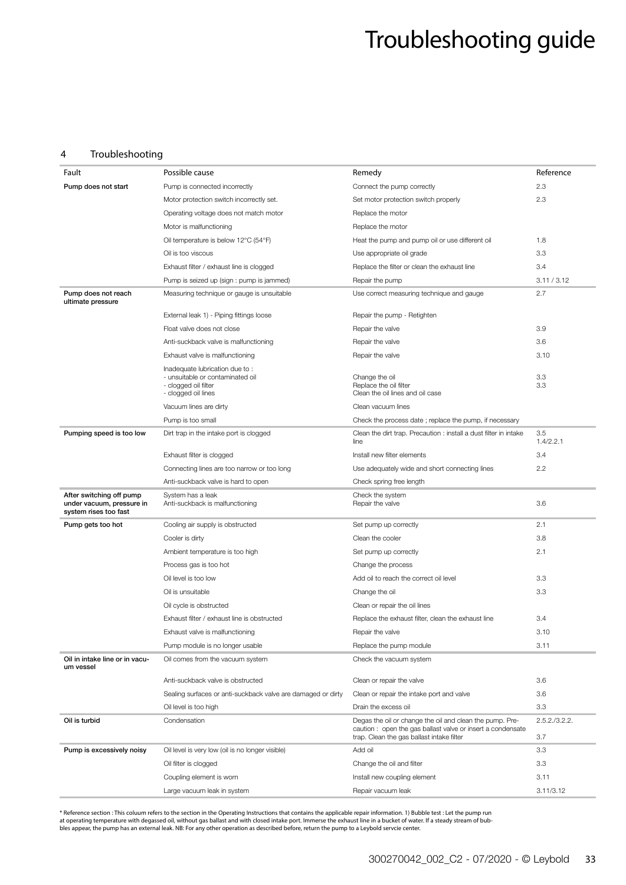### Troubleshooting guide

#### 4 Troubleshooting

| Fault                                                                          | Possible cause                                                                                                    | Remedy                                                                                                                                                              | Reference            |
|--------------------------------------------------------------------------------|-------------------------------------------------------------------------------------------------------------------|---------------------------------------------------------------------------------------------------------------------------------------------------------------------|----------------------|
| Pump does not start                                                            | Pump is connected incorrectly                                                                                     | Connect the pump correctly                                                                                                                                          | 2.3                  |
|                                                                                | Motor protection switch incorrectly set.                                                                          | Set motor protection switch properly                                                                                                                                | 2.3                  |
|                                                                                | Operating voltage does not match motor                                                                            | Replace the motor                                                                                                                                                   |                      |
|                                                                                | Motor is malfunctioning                                                                                           | Replace the motor                                                                                                                                                   |                      |
|                                                                                | Oil temperature is below 12°C (54°F)                                                                              | Heat the pump and pump oil or use different oil                                                                                                                     | 1.8                  |
|                                                                                | Oil is too viscous                                                                                                | Use appropriate oil grade                                                                                                                                           | 3.3                  |
|                                                                                | Exhaust filter / exhaust line is clogged                                                                          | Replace the filter or clean the exhaust line                                                                                                                        | 3.4                  |
|                                                                                | Pump is seized up (sign : pump is jammed)                                                                         | Repair the pump                                                                                                                                                     | 3.11 / 3.12          |
| Pump does not reach<br>ultimate pressure                                       | Measuring technique or gauge is unsuitable                                                                        | Use correct measuring technique and gauge                                                                                                                           | 2.7                  |
|                                                                                | External leak 1) - Piping fittings loose                                                                          | Repair the pump - Retighten                                                                                                                                         |                      |
|                                                                                | Float valve does not close                                                                                        | Repair the valve                                                                                                                                                    | 3.9                  |
|                                                                                | Anti-suckback valve is malfunctioning                                                                             | Repair the valve                                                                                                                                                    | 3.6                  |
|                                                                                | Exhaust valve is malfunctioning                                                                                   | Repair the valve                                                                                                                                                    | 3.10                 |
|                                                                                | Inadequate lubrication due to:<br>- unsuitable or contaminated oil<br>- clogged oil filter<br>- clogged oil lines | Change the oil<br>Replace the oil filter<br>Clean the oil lines and oil case                                                                                        | 3.3<br>3.3           |
|                                                                                | Vacuum lines are dirty                                                                                            | Clean vacuum lines                                                                                                                                                  |                      |
|                                                                                | Pump is too small                                                                                                 | Check the process date ; replace the pump, if necessary                                                                                                             |                      |
| Pumping speed is too low                                                       | Dirt trap in the intake port is clogged                                                                           | Clean the dirt trap. Precaution : install a dust filter in intake<br>line                                                                                           | 3.5<br>1.4/2.2.1     |
|                                                                                | Exhaust filter is clogged                                                                                         | Install new filter elements                                                                                                                                         | 3.4                  |
|                                                                                | Connecting lines are too narrow or too long                                                                       | Use adequately wide and short connecting lines                                                                                                                      | 2.2                  |
|                                                                                | Anti-suckback valve is hard to open                                                                               | Check spring free length                                                                                                                                            |                      |
| After switching off pump<br>under vacuum, pressure in<br>system rises too fast | System has a leak<br>Anti-suckback is malfunctioning                                                              | Check the system<br>Repair the valve                                                                                                                                | 3.6                  |
| Pump gets too hot                                                              | Cooling air supply is obstructed                                                                                  | Set pump up correctly                                                                                                                                               | 2.1                  |
|                                                                                | Cooler is dirty                                                                                                   | Clean the cooler                                                                                                                                                    | 3.8                  |
|                                                                                | Ambient temperature is too high                                                                                   | Set pump up correctly                                                                                                                                               | 2.1                  |
|                                                                                | Process gas is too hot                                                                                            | Change the process                                                                                                                                                  |                      |
|                                                                                | Oil level is too low                                                                                              | Add oil to reach the correct oil level                                                                                                                              | 3.3                  |
|                                                                                | Oil is unsuitable                                                                                                 | Change the oil                                                                                                                                                      | 3.3                  |
|                                                                                | Oil cycle is obstructed                                                                                           | Clean or repair the oil lines                                                                                                                                       |                      |
|                                                                                | Exhaust filter / exhaust line is obstructed                                                                       | Replace the exhaust filter, clean the exhaust line                                                                                                                  | 3.4                  |
|                                                                                | Exhaust valve is malfunctioning                                                                                   | Repair the valve                                                                                                                                                    | 3.10                 |
|                                                                                | Pump module is no longer usable                                                                                   | Replace the pump module                                                                                                                                             | 3.11                 |
| Oil in intake line or in vacu-<br>um vessel                                    | Oil comes from the vacuum system                                                                                  | Check the vacuum system                                                                                                                                             |                      |
|                                                                                | Anti-suckback valve is obstructed                                                                                 | Clean or repair the valve                                                                                                                                           | 3.6                  |
|                                                                                | Sealing surfaces or anti-suckback valve are damaged or dirty                                                      | Clean or repair the intake port and valve                                                                                                                           | 3.6                  |
|                                                                                | Oil level is too high                                                                                             | Drain the excess oil                                                                                                                                                | 3.3                  |
| Oil is turbid                                                                  | Condensation                                                                                                      | Degas the oil or change the oil and clean the pump. Pre-<br>caution: open the gas ballast valve or insert a condensate<br>trap. Clean the gas ballast intake filter | 2.5.2./3.2.2.<br>3.7 |
| Pump is excessively noisy                                                      | Oil level is very low (oil is no longer visible)                                                                  | Add oil                                                                                                                                                             | 3.3                  |
|                                                                                | Oil filter is clogged                                                                                             | Change the oil and filter                                                                                                                                           | 3.3                  |
|                                                                                | Coupling element is worn                                                                                          | Install new coupling element                                                                                                                                        | 3.11                 |
|                                                                                | Large vacuum leak in system                                                                                       | Repair vacuum leak                                                                                                                                                  | 3.11/3.12            |
|                                                                                |                                                                                                                   |                                                                                                                                                                     |                      |

\* Reference section : This coluum refers to the section in the Operating Instructions that contains the applicable repair information. 1) Bubble test : Let the pump run<br>at operating temperature with degassed oil, without g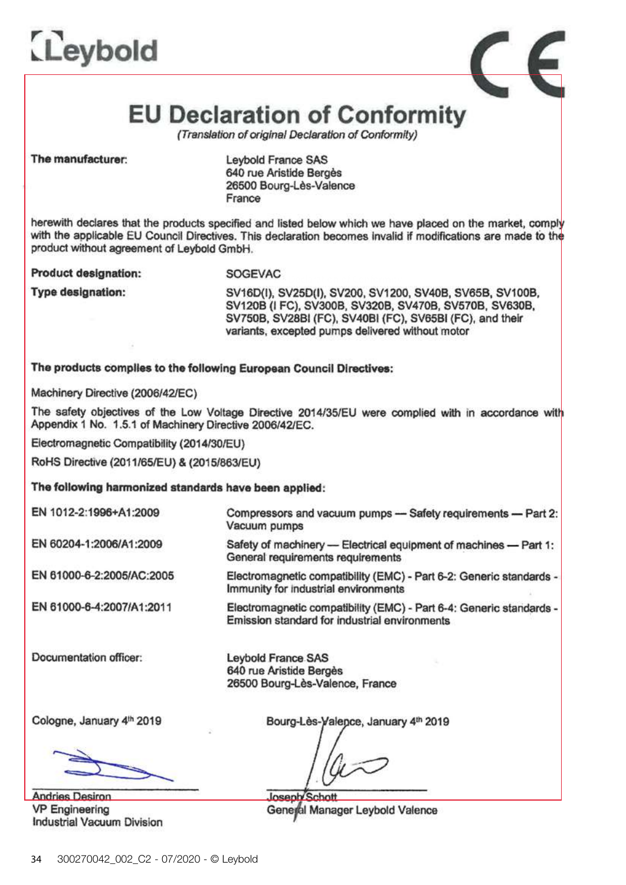



### **EU Declaration of Conformity**

(Translation of original Declaration of Conformity)

The manufacturer:

Leybold France SAS 640 rue Aristide Bergès 26500 Bourg-Lès-Valence France

herewith declares that the products specified and listed below which we have placed on the market, comply with the applicable EU Council Directives. This declaration becomes invalid if modifications are made to the product without agreement of Levbold GmbH.

**Product designation:** 

**Type designation:** 

 $\mathbf{U}$ Eu peclaration of Conformity

SV16D(I), SV25D(I), SV200, SV1200, SV40B, SV65B, SV100B, SV120B (I FC), SV300B, SV320B, SV470B, SV570B, SV630B, SV750B, SV28BI (FC), SV40BI (FC), SV65BI (FC), and their variants, excepted pumps delivered without motor

Compressors and vacuum pumps - Safety requirements - Part 2:

Safety of machinery - Electrical equipment of machines - Part 1:

Electromagnetic compatibility (EMC) - Part 6-2: Generic standards -

Electromagnetic compatibility (EMC) - Part 6-4: Generic standards -

#### The products complies to the following European Council Directives:

Machinery Directive (2006/42/EC)

The safety objectives of the Low Voltage Directive 2014/35/EU were complied with in accordance with Appendix 1 No. 1.5.1 of Machinery Directive 2006/42/EC.

Vacuum pumps

Electromagnetic Compatibility (2014/30/EU)

RoHS Directive (2011/65/EU) & (2015/863/EU)

The following harmonized standards have been applied:

EN 1012-2:1996+A1:2009

EN 60204-1:2006/A1:2009

EN 61000-6-2:2005/AC:2005

EN 61000-6-4:2007/A1:2011

Documentation officer:

**Levbold France SAS** 640 rue Aristide Bergès 26500 Bourg-Lès-Valence, France

General requirements requirements

Immunity for industrial environments

Emission standard for industrial environments

Cologne, January 4th 2019

**Andries Desiron VP Engineering Industrial Vacuum Division** 

Bourg-Lès-Valence, January 4th 2019

Joseph Schott General Manager Leybold Valence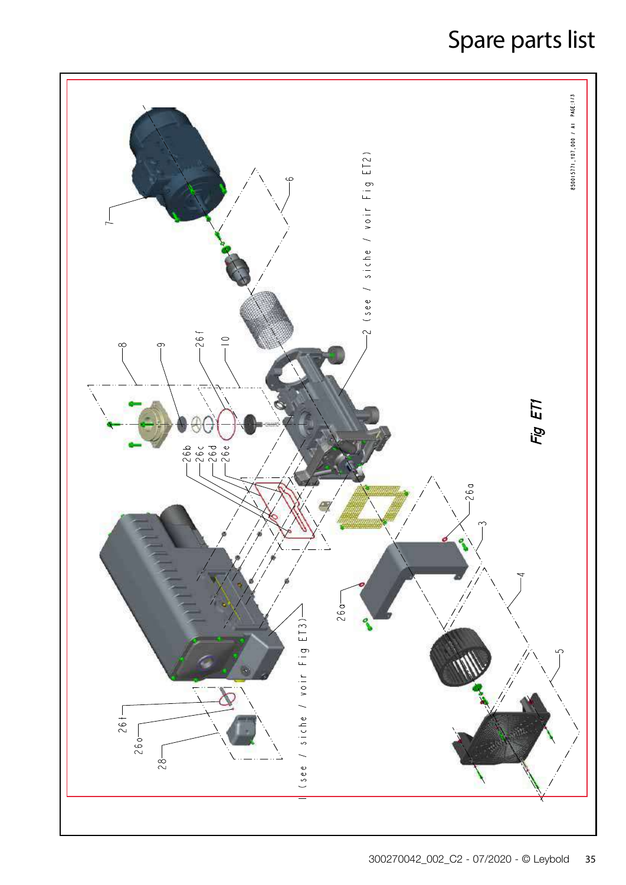### Spare parts list

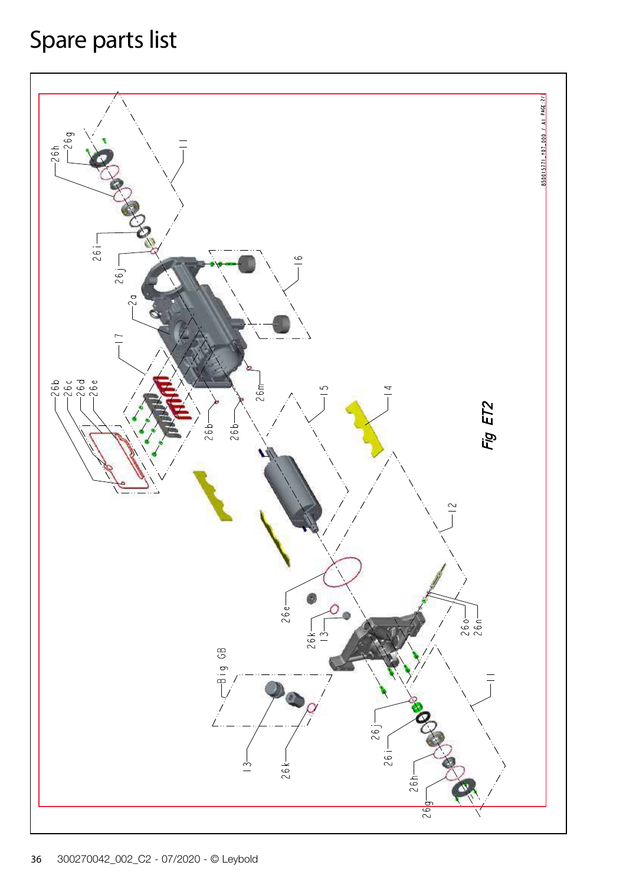### Spare parts list

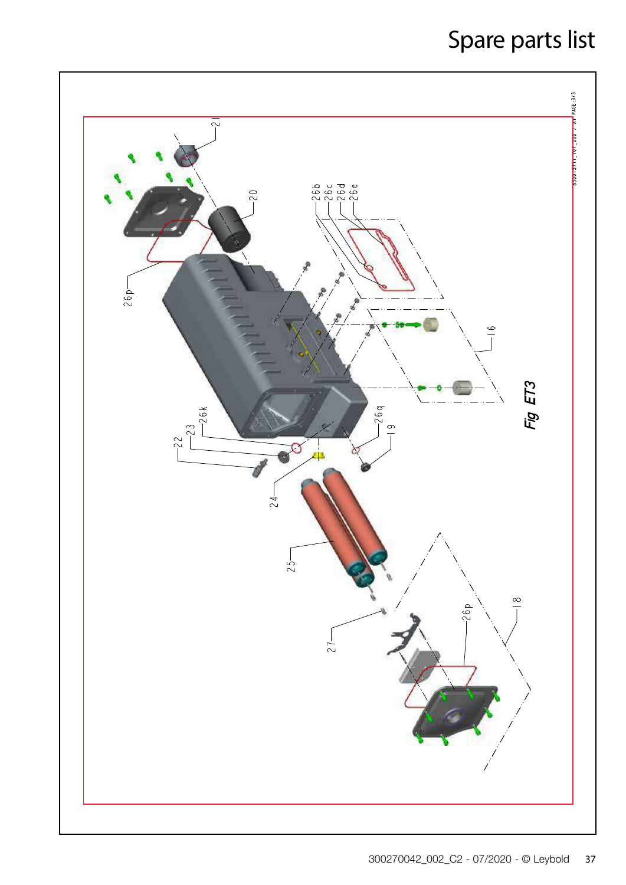## Spare parts list

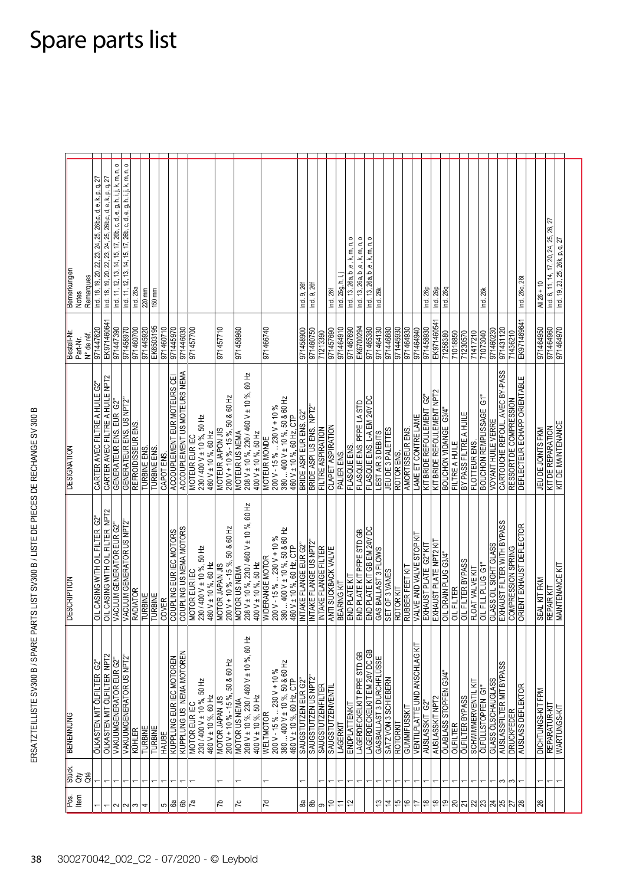| Bemerkungen<br>Remarques<br><b>Notes</b>     | Ind. 18, 19, 20, 22, 23, 24, 25, 26b,c, d, e, k, p, q, 27 | Incl. 11, 12, 13, 14, 15, 17, 26b, c, d, e, g, h, i, j, k, m, n, o<br>Incl. 18, 19, 20, 22, 23, 24, 25, 26b,c, d, e, k, p, q, 27 | Incl. 11, 12, 13, 14, 15, 17, 26b, c, d, e, g, h, i, j, k, m, n, o | Incl. 26a          | 220 mm       | 150 mm              |              |                                                              |                          |                                            |                                                  |                         |                                      |                                                                                                       |                                                  |                                                           | Ind. 9, 26                                        | Incl. 9, 26f            |                          | Ind. 26f                                | Incl. 26g, h, i, j | Incl. 13, 26a, b, e, k, m, n, o | Ind. 13, 26a, b, e, k, m, n, o<br>Incl. 13, 26a, b, e, k, m, n, o    | Ind. 26k                              |                                                  |               |                         |                                                    | Incl. 26p<br>Incl. 26p              | Incl. 26q              |                 |                          |                    | Incl. 26k               |                           |                                |                        | Ind. 260, 26t                   | All 26 + 10       | Incl. 6, 11, 14, 17, 20, 24, 25, 26, 27 |
|----------------------------------------------|-----------------------------------------------------------|----------------------------------------------------------------------------------------------------------------------------------|--------------------------------------------------------------------|--------------------|--------------|---------------------|--------------|--------------------------------------------------------------|--------------------------|--------------------------------------------|--------------------------------------------------|-------------------------|--------------------------------------|-------------------------------------------------------------------------------------------------------|--------------------------------------------------|-----------------------------------------------------------|---------------------------------------------------|-------------------------|--------------------------|-----------------------------------------|--------------------|---------------------------------|----------------------------------------------------------------------|---------------------------------------|--------------------------------------------------|---------------|-------------------------|----------------------------------------------------|-------------------------------------|------------------------|-----------------|--------------------------|--------------------|-------------------------|---------------------------|--------------------------------|------------------------|---------------------------------|-------------------|-----------------------------------------|
| Bestell-Nr<br>N° de réf.<br>Part-Nr.         | 971447620                                                 | EK971460641<br>971447390                                                                                                         | 971458970                                                          | 971460700          | 026944126    | EK6503195           | 971460710    | 971445970                                                    | 971446030                | 971457700                                  |                                                  | 01754176                |                                      | 096894176                                                                                             | 971466740                                        |                                                           | 006854126                                         | 971460750               | 71213390                 | 971457690                               | 971464910          | 971467690                       | EK6700294<br>086994126                                               | 971464130                             | 08994416                                         | 026924126     | 971464930               | 071464940                                          | EK971460541<br>971458930            | 71256380               | 71018850        | 71230570                 | 71417210           | 71073040                | 023094126                 | 971431120                      | 71436210               | EK971469641                     | 971464950         | 096694126                               |
| <b>DESIGNATION</b>                           | ပြီ<br>CARTER AVEC FILTRE A HUILE                         | CARTER AVEC FILTRE A HUILE NPT2<br>GENERATEUR ENS. EUR G2'                                                                       | GENERATEUR ENS. US NPT2"                                           | REFROIDISSEUR ENS. | TURBINE ENS. | <b>TURBINE ENS.</b> | CAPOT ENS.   | ACCOUPLEMENT EUR MOTEURS CEI<br>ACCOUPLEMENT US MOTEURS NEMA |                          | <b>MOTEUR EUR IEC</b>                      | $230/400$ V ± 10 %, 50 Hz<br>460 V ± 10 %, 60 Hz | <b>NOTEUR JAPON JIS</b> | $200$ V + 10 % - 15 %, 50 & 60 Hz    | $208$ V $\pm$ 10 %, 230 / 460 V $\pm$ 10 %, 60 Hz<br>400 V $\pm$ 10 %, 50 Hz<br><b>MOTEUR US NEMA</b> | $200V - 15%$ $230V + 10%$<br><b>MOTEUR MONDE</b> | $380400$ V ± 10 %, 50 & 60 Hz<br>460 V ± 10 %, 60 Hz, CTP | BRIDE ASPI EUR ENS. G2'                           | BRIDE ASPI US ENS. NPT2 | FILTRE ASPIRATION        | <b>CLAPET ASPIRATION</b><br>PALIER ENS. |                    | FLASQUE ENS.                    | FLASQUE ENS. L-A EM 24V DC<br>FLASQUE ENS. PFPE LA STD               | LEST AIR 3 DEBITS                     | JEU DE 3 PALETTES                                | ROTOR ENS.    | <b>AMORTISSEUR ENS.</b> | မြ<br>KIT BRIDE REFOULEMENT<br>LAME ET CONTRE LAME | KIT BRIDE REFOULEMENT NPT2          | BOUCHON VIDANGE G3/4"  | FILTRE A HUILE  | BY PASS FILTRE A HUILE   | FLOTTEUR ENS       | BOUCHON REMPLISSAGE G1" | <b>VOYANT HUILE VERRE</b> | CARTOUCHE REFOUL. AVEC BY-PASS | RESSORT DE COMPRESSION | DEFLECTEUR ECHAPP ORIENTABLE    | JEU DE JOINTS FKM | KIT DE REPARATION<br>KIT DE MAINTENANCE |
| <b>DESCRIPTION</b>                           | OIL CASING WITH OIL FILTER G2                             | OIL CASING WITH OIL FILTER NPT2<br>VACUUM GENERATOR EUR G2                                                                       | VACUUM GENERATOR US NPT2"                                          | <b>RADIATOR</b>    | TURBINE      | TURBINE             | <b>COVER</b> | COUPLING EUR IEC MOTORS<br>COUPLING EUR IEC MOTORS           |                          | <b>MOTOR EUR IEC</b>                       | $230/400$ V ± 10 %, 50 Hz<br>460 V ± 10 %, 60 Hz | <b>NOTOR JAPAN JIS</b>  | $200V + 10\% - 15\%$ , 50 & 60 Hz    | $208$ V $\pm$ 10 %, 230 / 460 V $\pm$ 10 %, 60 Hz<br>400 V $\pm$ 10 %, 50 Hz<br><b>MOTOR US NEMA</b>  | $200V - 15%$ $230V + 10%$<br>WIDERANGE MOTOR     | 380  400 V ± 10 %, 50 & 60 Hz                             | INTAKE FLANGE EUR G2'<br>460 V ± 10 %, 60 Hz, CTP | INTAKE FLANGE US NPT2   | INTAKE FLANGE FILTER     | ANTI SUCKBACK VALVE<br>BEARING KIT      |                    | END PLATE KIT                   | END PLATE KIT GB EM 24V DC<br>END PLATE KIT PFPE STD GB              | GAS BALLAST 3 FLOWS<br>SET OF 3 VANES |                                                  | ROTOR KIT     | RUBBER FEET KIT         | VALVE AND VALVE STOP KIT<br>EXHAUST PLATE G2" KIT  | EXHAUST PLATE NPT2 KIT              | OIL DRAIN PLUG G3/4"   | OIL FILTER      | <b>OIL FILTER BYPASS</b> | FLOAT VALVE KIT    | OIT LITT LING GI        | GLASS OIL SIGHT GLASS     | EXHAUST FILTER WITH BYPASS     | COMPRESSION SPRING     | <b>ORIENT EXHAUST DEFLECTOR</b> | SEAL KIT FKM      | REPAIR KIT<br>MAINTENANCE KIT           |
| <b>BENENNUNG</b>                             | ÖLKASTEN MIT ÖLFILTER                                     | <b>ÖLKASTEN MIT ÖLFILTER NPT2</b><br>VAKUUMGENERATOR EUR G2'                                                                     | VAKUUMGENERATOR US NPT2'                                           | KÜHLER             | TURBINE      | TURBINE             | <b>HAUBE</b> | KUPPLUNG EUR IEC MOTOREN                                     | KUPPLUNG US NEMA MOTOREN | 230 / 400 V ± 10 %, 50 Hz<br>MOTOR EUR IEC | 460 V ± 10 %, 60 Hz                              | MOTOR JAPAN JIS         | 50 & 60 Hz<br>$200$ V + 10 % - 15 %, | 208 V ± 10 %, 230 / 460 V ± 10 %, 60 Hz<br>400 V ± 10 %, 50 Hz<br>MOTOR US NEMA                       | $200V - 15%$ $230V + 10%$<br><b>WELTMOTOR</b>    | 380  400 V ± 10 %, 50 & 60 Hz                             | 460 V ± 10 %, 60 Hz, CTP<br>SAUGSTUTZEN EUR G2    | SAUGSTUTZEN US NPT2     | <b>SAUGSTUTZENFILTER</b> | <b>SAUGSTUTZENVENTIL</b>                | LAGERKIT           | ENDPLATTENKIT                   | EM 24 V DC GB<br>LAGERDECKELKIT PFPE STD GB<br><b>LAGERDECKELKIT</b> |                                       | GASBALLAST 3 DURCHFLÜSSI<br>SATZ VON 3 SCHIEBERN | ROTORKI'      | <b>GUMMIFUSSKIT</b>     | VENTILPLATTE UND ANSCHLAG KIT                      | AUSLASSKIT NPT2<br>පි<br>AUSLASSKIT | ÖLABLASS STOPFEN G3/4' | <b>ÖLFILTER</b> | ÖLFILTER BYPASS          | SCHWIMMERVENTIL KI | OLFÜLLSTOPFEN GI        | GLASS ÖLSCHAUGLASS        | AUSLASSFILTER MIT BYPASS       | <b>DRUCKFEDER</b>      | <b>AUSLASS DEFLEKTOR</b>        | DICHTUNGS-KIT FPM | REPARATUR-KIT<br>WARTUNGS-KIT           |
| <b>Stuck</b><br>dté<br>đ<br>Item<br>8<br>Pos |                                                           |                                                                                                                                  | 2<br>2                                                             | S                  | 4            |                     | 5            | 6a                                                           | සි                       | $\overline{7}a$                            |                                                  | 4                       |                                      | $\tilde{7}c$                                                                                          | 7d                                               |                                                           | ౙ                                                 | ਛ                       | တ                        | $\cong$                                 | $\tilde{=}$        | 5                               |                                                                      | ₿                                     | $\overline{4}$                                   | $\frac{6}{7}$ | $\frac{6}{5}$           | 17                                                 | ₽<br>$\frac{8}{3}$                  | 67                     | 20              | $\overline{2}$           |                    | ន $\frac{2}{3}$         | $\frac{1}{25}$            | S                              | S<br>77                | 28                              | 82                | $\overline{ }$                          |

 $\Gamma$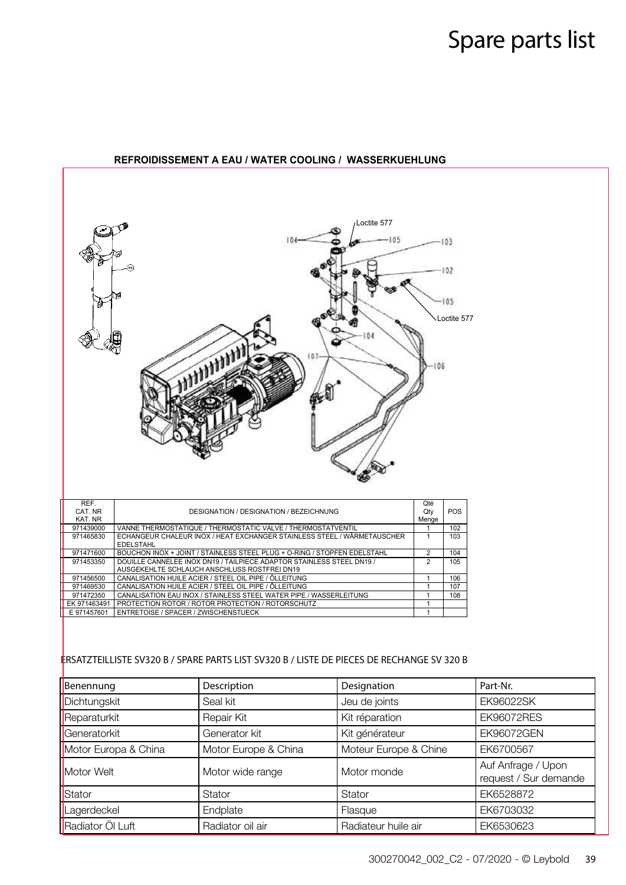

Radiator Öl Luft **Radiator Ol Australia I Radiateur huile air** Radiateur huile air **Radiateur EK6530623** 

#### **REFROIDISSEMENT A EAU / WATER COOLING / WASSERKUEHLUNG**